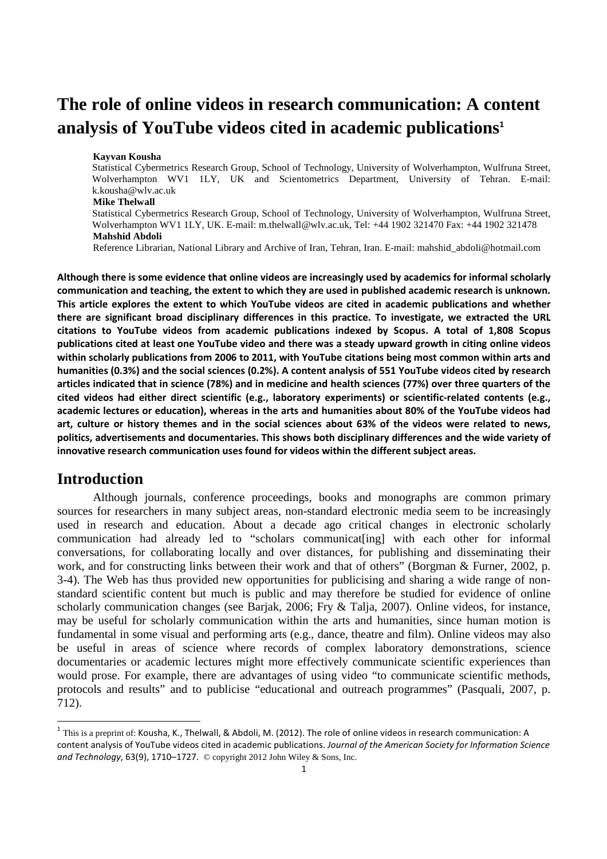# **The role of online videos in research communication: A content analysis of YouTube videos cited in academic publications**<sup>1</sup>

#### **Kayvan Kousha**

Statistical Cybermetrics Research Group, School of Technology, University of Wolverhampton, Wulfruna Street, Wolverhampton WV1 1LY, UK and Scientometrics Department, University of Tehran. E-mail: k.kousha@wlv.ac.uk

#### **Mike Thelwall**

Statistical Cybermetrics Research Group, School of Technology, University of Wolverhampton, Wulfruna Street, Wolverhampton WV1 1LY, UK. E-mail: m.thelwall@wlv.ac.uk, Tel: +44 1902 321470 Fax: +44 1902 321478 **Mahshid Abdoli** 

Reference Librarian, National Library and Archive of Iran, Tehran, Iran. E-mail: mahshid\_abdoli@hotmail.com

Although there is some evidence that online videos are increasingly used by academics for informal scholarly communication and teaching, the extent to which they are used in published academic research is unknown. This article explores the extent to which YouTube videos are cited in academic publications and whether there are significant broad disciplinary differences in this practice. To investigate, we extracted the URL citations to YouTube videos from academic publications indexed by Scopus. A total of 1,808 Scopus publications cited at least one YouTube video and there was a steady upward growth in citing online videos within scholarly publications from 2006 to 2011, with YouTube citations being most common within arts and humanities (0.3%) and the social sciences (0.2%). A content analysis of 551 YouTube videos cited by research articles indicated that in science (78%) and in medicine and health sciences (77%) over three quarters of the cited videos had either direct scientific (e.g., laboratory experiments) or scientific-related contents (e.g., academic lectures or education), whereas in the arts and humanities about 80% of the YouTube videos had art, culture or history themes and in the social sciences about 63% of the videos were related to news, politics, advertisements and documentaries. This shows both disciplinary differences and the wide variety of innovative research communication uses found for videos within the different subject areas.

## **Introduction**

 $\overline{a}$ 

Although journals, conference proceedings, books and monographs are common primary sources for researchers in many subject areas, non-standard electronic media seem to be increasingly used in research and education. About a decade ago critical changes in electronic scholarly communication had already led to "scholars communicat[ing] with each other for informal conversations, for collaborating locally and over distances, for publishing and disseminating their work, and for constructing links between their work and that of others" (Borgman & Furner, 2002, p. 3-4). The Web has thus provided new opportunities for publicising and sharing a wide range of nonstandard scientific content but much is public and may therefore be studied for evidence of online scholarly communication changes (see Barjak, 2006; Fry & Talja, 2007). Online videos, for instance, may be useful for scholarly communication within the arts and humanities, since human motion is fundamental in some visual and performing arts (e.g., dance, theatre and film). Online videos may also be useful in areas of science where records of complex laboratory demonstrations, science documentaries or academic lectures might more effectively communicate scientific experiences than would prose. For example, there are advantages of using video "to communicate scientific methods, protocols and results" and to publicise "educational and outreach programmes" (Pasquali, 2007, p. 712).

 $^1$  This is a preprint of: Kousha, K., Thelwall, & Abdoli, M. (2012). The role of online videos in research communication: A content analysis of YouTube videos cited in academic publications. Journal of the American Society for Information Science and Technology, 63(9), 1710–1727. © copyright 2012 John Wiley & Sons, Inc.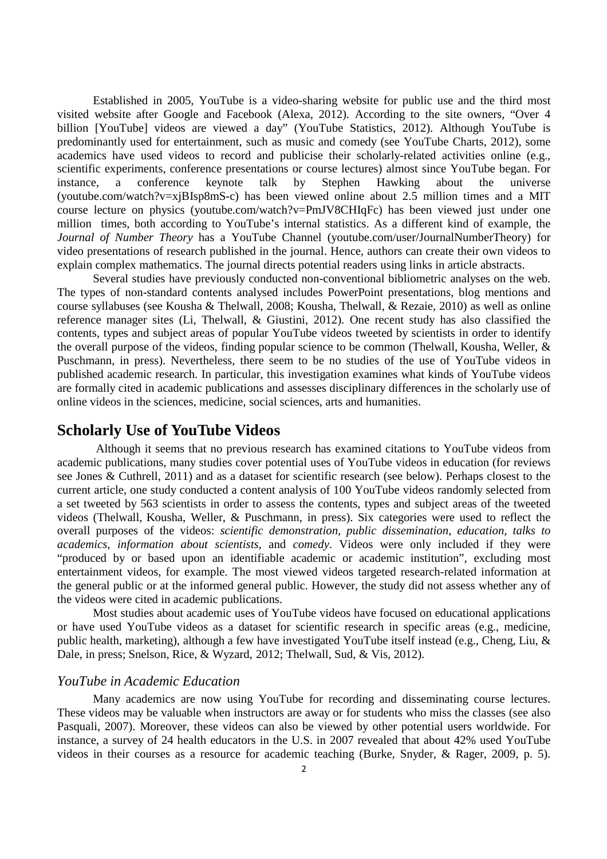Established in 2005, YouTube is a video-sharing website for public use and the third most visited website after Google and Facebook (Alexa, 2012). According to the site owners, "Over 4 billion [YouTube] videos are viewed a day" (YouTube Statistics, 2012). Although YouTube is predominantly used for entertainment, such as music and comedy (see YouTube Charts, 2012), some academics have used videos to record and publicise their scholarly-related activities online (e.g., scientific experiments, conference presentations or course lectures) almost since YouTube began. For instance, a conference keynote talk by Stephen Hawking about the universe (youtube.com/watch?v=xjBIsp8mS-c) has been viewed online about 2.5 million times and a MIT course lecture on physics (youtube.com/watch?v=PmJV8CHIqFc) has been viewed just under one million times, both according to YouTube's internal statistics. As a different kind of example, the *Journal of Number Theory* has a YouTube Channel (youtube.com/user/JournalNumberTheory) for video presentations of research published in the journal. Hence, authors can create their own videos to explain complex mathematics. The journal directs potential readers using links in article abstracts.

Several studies have previously conducted non-conventional bibliometric analyses on the web. The types of non-standard contents analysed includes PowerPoint presentations, blog mentions and course syllabuses (see Kousha & Thelwall, 2008; Kousha, Thelwall, & Rezaie, 2010) as well as online reference manager sites (Li, Thelwall, & Giustini, 2012). One recent study has also classified the contents, types and subject areas of popular YouTube videos tweeted by scientists in order to identify the overall purpose of the videos, finding popular science to be common (Thelwall, Kousha, Weller, & Puschmann, in press). Nevertheless, there seem to be no studies of the use of YouTube videos in published academic research. In particular, this investigation examines what kinds of YouTube videos are formally cited in academic publications and assesses disciplinary differences in the scholarly use of online videos in the sciences, medicine, social sciences, arts and humanities.

### **Scholarly Use of YouTube Videos**

 Although it seems that no previous research has examined citations to YouTube videos from academic publications, many studies cover potential uses of YouTube videos in education (for reviews see Jones & Cuthrell, 2011) and as a dataset for scientific research (see below). Perhaps closest to the current article, one study conducted a content analysis of 100 YouTube videos randomly selected from a set tweeted by 563 scientists in order to assess the contents, types and subject areas of the tweeted videos (Thelwall, Kousha, Weller, & Puschmann, in press). Six categories were used to reflect the overall purposes of the videos: *scientific demonstration, public dissemination, education, talks to academics, information about scientists*, and *comedy*. Videos were only included if they were "produced by or based upon an identifiable academic or academic institution", excluding most entertainment videos, for example. The most viewed videos targeted research-related information at the general public or at the informed general public. However, the study did not assess whether any of the videos were cited in academic publications.

Most studies about academic uses of YouTube videos have focused on educational applications or have used YouTube videos as a dataset for scientific research in specific areas (e.g., medicine, public health, marketing), although a few have investigated YouTube itself instead (e.g., Cheng, Liu, & Dale, in press; Snelson, Rice, & Wyzard, 2012; Thelwall, Sud, & Vis, 2012).

#### *YouTube in Academic Education*

Many academics are now using YouTube for recording and disseminating course lectures. These videos may be valuable when instructors are away or for students who miss the classes (see also Pasquali, 2007). Moreover, these videos can also be viewed by other potential users worldwide. For instance, a survey of 24 health educators in the U.S. in 2007 revealed that about 42% used YouTube videos in their courses as a resource for academic teaching (Burke, Snyder, & Rager, 2009, p. 5).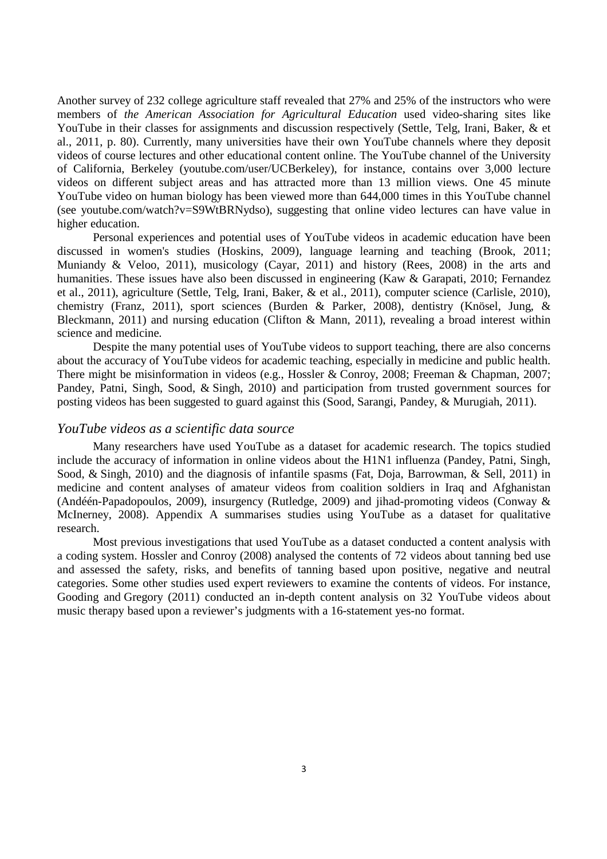Another survey of 232 college agriculture staff revealed that 27% and 25% of the instructors who were members of *the American Association for Agricultural Education* used video-sharing sites like YouTube in their classes for assignments and discussion respectively (Settle, Telg, Irani, Baker, & et al., 2011, p. 80). Currently, many universities have their own YouTube channels where they deposit videos of course lectures and other educational content online. The YouTube channel of the University of California, Berkeley (youtube.com/user/UCBerkeley), for instance, contains over 3,000 lecture videos on different subject areas and has attracted more than 13 million views. One 45 minute YouTube video on human biology has been viewed more than 644,000 times in this YouTube channel (see youtube.com/watch?v=S9WtBRNydso), suggesting that online video lectures can have value in higher education.

Personal experiences and potential uses of YouTube videos in academic education have been discussed in women's studies (Hoskins, 2009), language learning and teaching (Brook, 2011; Muniandy & Veloo, 2011), musicology (Cayar, 2011) and history (Rees, 2008) in the arts and humanities. These issues have also been discussed in engineering (Kaw & Garapati, 2010; Fernandez et al., 2011), agriculture (Settle, Telg, Irani, Baker, & et al., 2011), computer science (Carlisle, 2010), chemistry (Franz, 2011), sport sciences (Burden & Parker, 2008), dentistry (Knösel, Jung, & Bleckmann, 2011) and nursing education (Clifton & Mann, 2011), revealing a broad interest within science and medicine.

Despite the many potential uses of YouTube videos to support teaching, there are also concerns about the accuracy of YouTube videos for academic teaching, especially in medicine and public health. There might be misinformation in videos (e.g., Hossler & Conroy, 2008; Freeman & Chapman, 2007; Pandey, Patni, Singh, Sood, & Singh, 2010) and participation from trusted government sources for posting videos has been suggested to guard against this (Sood, Sarangi, Pandey, & Murugiah, 2011).

#### *YouTube videos as a scientific data source*

Many researchers have used YouTube as a dataset for academic research. The topics studied include the accuracy of information in online videos about the H1N1 influenza (Pandey, Patni, Singh, Sood, & Singh, 2010) and the diagnosis of infantile spasms (Fat, Doja, Barrowman, & Sell, 2011) in medicine and content analyses of amateur videos from coalition soldiers in Iraq and Afghanistan (Andéén-Papadopoulos, 2009), insurgency (Rutledge, 2009) and jihad-promoting videos (Conway & McInerney, 2008). Appendix A summarises studies using YouTube as a dataset for qualitative research.

Most previous investigations that used YouTube as a dataset conducted a content analysis with a coding system. Hossler and Conroy (2008) analysed the contents of 72 videos about tanning bed use and assessed the safety, risks, and benefits of tanning based upon positive, negative and neutral categories. Some other studies used expert reviewers to examine the contents of videos. For instance, Gooding and Gregory (2011) conducted an in-depth content analysis on 32 YouTube videos about music therapy based upon a reviewer's judgments with a 16-statement yes-no format.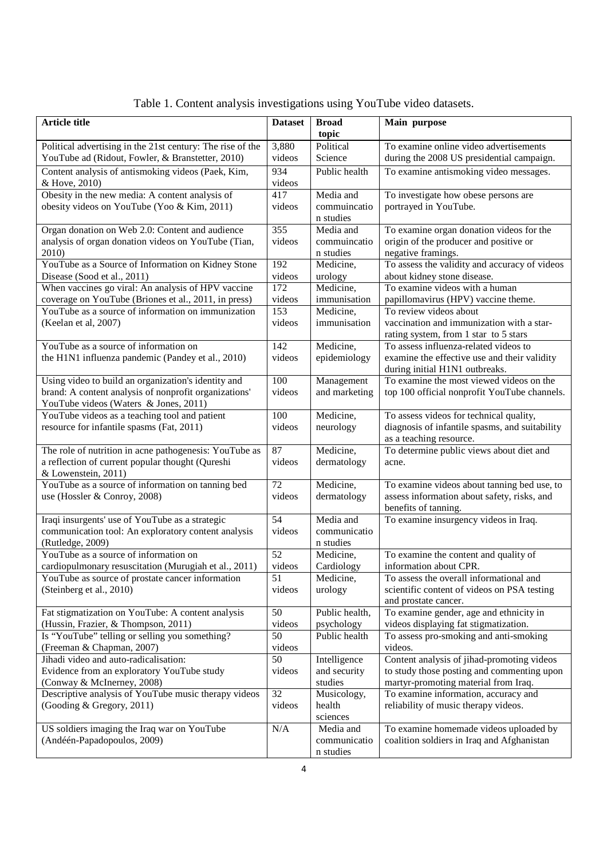| <b>Article title</b>                                       | <b>Dataset</b>  | <b>Broad</b>   | Main purpose                                   |
|------------------------------------------------------------|-----------------|----------------|------------------------------------------------|
|                                                            |                 | topic          |                                                |
| Political advertising in the 21st century: The rise of the | 3,880           | Political      | To examine online video advertisements         |
| YouTube ad (Ridout, Fowler, & Branstetter, 2010)           | videos          | Science        | during the 2008 US presidential campaign.      |
| Content analysis of antismoking videos (Paek, Kim,         | 934             | Public health  | To examine antismoking video messages.         |
|                                                            |                 |                |                                                |
| & Hove, 2010)                                              | videos          |                |                                                |
| Obesity in the new media: A content analysis of            | 417             | Media and      | To investigate how obese persons are           |
| obesity videos on YouTube (Yoo & Kim, 2011)                | videos          | commuincatio   | portrayed in YouTube.                          |
|                                                            |                 | n studies      |                                                |
| Organ donation on Web 2.0: Content and audience            | 355             | Media and      | To examine organ donation videos for the       |
| analysis of organ donation videos on YouTube (Tian,        | videos          | commuincatio   | origin of the producer and positive or         |
| 2010)                                                      |                 | n studies      | negative framings.                             |
| YouTube as a Source of Information on Kidney Stone         | 192             | Medicine,      | To assess the validity and accuracy of videos  |
| Disease (Sood et al., 2011)                                | videos          | urology        | about kidney stone disease.                    |
| When vaccines go viral: An analysis of HPV vaccine         | 172             | Medicine,      | To examine videos with a human                 |
| coverage on YouTube (Briones et al., 2011, in press)       | videos          | immunisation   | papillomavirus (HPV) vaccine theme.            |
| YouTube as a source of information on immunization         | 153             | Medicine,      | To review videos about                         |
| (Keelan et al, 2007)                                       | videos          | immunisation   | vaccination and immunization with a star-      |
|                                                            |                 |                | rating system, from 1 star to 5 stars          |
| YouTube as a source of information on                      | 142             | Medicine,      | To assess influenza-related videos to          |
| the H1N1 influenza pandemic (Pandey et al., 2010)          | videos          | epidemiology   | examine the effective use and their validity   |
|                                                            |                 |                | during initial H1N1 outbreaks.                 |
| Using video to build an organization's identity and        | 100             | Management     | To examine the most viewed videos on the       |
| brand: A content analysis of nonprofit organizations'      | videos          | and marketing  | top 100 official nonprofit YouTube channels.   |
| YouTube videos (Waters & Jones, 2011)                      |                 |                |                                                |
| YouTube videos as a teaching tool and patient              | 100             | Medicine,      | To assess videos for technical quality,        |
| resource for infantile spasms (Fat, 2011)                  | videos          | neurology      | diagnosis of infantile spasms, and suitability |
|                                                            |                 |                | as a teaching resource.                        |
| The role of nutrition in acne pathogenesis: YouTube as     | 87              | Medicine,      | To determine public views about diet and       |
| a reflection of current popular thought (Qureshi           | videos          | dermatology    | acne.                                          |
| & Lowenstein, 2011)                                        |                 |                |                                                |
| YouTube as a source of information on tanning bed          | 72              | Medicine,      | To examine videos about tanning bed use, to    |
| use (Hossler & Conroy, 2008)                               | videos          | dermatology    | assess information about safety, risks, and    |
|                                                            |                 |                | benefits of tanning.                           |
| Iraqi insurgents' use of YouTube as a strategic            | $\overline{54}$ | Media and      | To examine insurgency videos in Iraq.          |
| communication tool: An exploratory content analysis        | videos          | communicatio   |                                                |
| (Rutledge, 2009)                                           |                 | n studies      |                                                |
| YouTube as a source of information on                      | 52              | Medicine,      | To examine the content and quality of          |
| cardiopulmonary resuscitation (Murugiah et al., 2011)      | videos          | Cardiology     | information about CPR.                         |
| YouTube as source of prostate cancer information           | 51              | Medicine,      | To assess the overall informational and        |
| (Steinberg et al., 2010)                                   | videos          | urology        | scientific content of videos on PSA testing    |
|                                                            |                 |                | and prostate cancer.                           |
| Fat stigmatization on YouTube: A content analysis          | 50              | Public health, | To examine gender, age and ethnicity in        |
| (Hussin, Frazier, & Thompson, 2011)                        | videos          | psychology     | videos displaying fat stigmatization.          |
| Is "YouTube" telling or selling you something?             | 50              | Public health  | To assess pro-smoking and anti-smoking         |
| (Freeman & Chapman, 2007)                                  | videos          |                | videos.                                        |
| Jihadi video and auto-radicalisation:                      | 50              | Intelligence   | Content analysis of jihad-promoting videos     |
| Evidence from an exploratory YouTube study                 | videos          | and security   | to study those posting and commenting upon     |
| (Conway & McInerney, 2008)                                 |                 | studies        | martyr-promoting material from Iraq.           |
| Descriptive analysis of YouTube music therapy videos       | 32              | Musicology,    | To examine information, accuracy and           |
| (Gooding & Gregory, 2011)                                  | videos          | health         | reliability of music therapy videos.           |
|                                                            |                 | sciences       |                                                |
| US soldiers imaging the Iraq war on YouTube                | N/A             | Media and      | To examine homemade videos uploaded by         |
| (Andéén-Papadopoulos, 2009)                                |                 | communicatio   | coalition soldiers in Iraq and Afghanistan     |
|                                                            |                 | n studies      |                                                |

Table 1. Content analysis investigations using YouTube video datasets.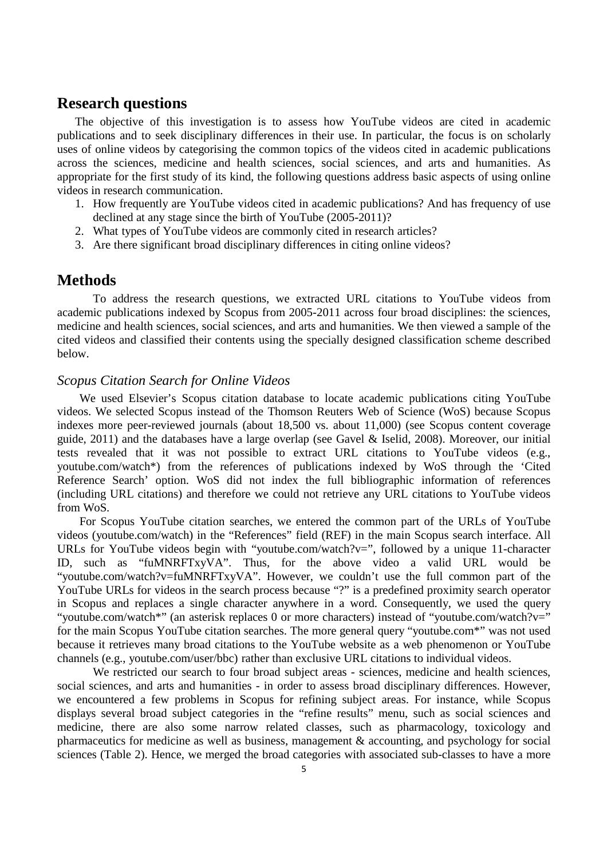# **Research questions**

The objective of this investigation is to assess how YouTube videos are cited in academic publications and to seek disciplinary differences in their use. In particular, the focus is on scholarly uses of online videos by categorising the common topics of the videos cited in academic publications across the sciences, medicine and health sciences, social sciences, and arts and humanities. As appropriate for the first study of its kind, the following questions address basic aspects of using online videos in research communication.

- 1. How frequently are YouTube videos cited in academic publications? And has frequency of use declined at any stage since the birth of YouTube (2005-2011)?
- 2. What types of YouTube videos are commonly cited in research articles?
- 3. Are there significant broad disciplinary differences in citing online videos?

## **Methods**

To address the research questions, we extracted URL citations to YouTube videos from academic publications indexed by Scopus from 2005-2011 across four broad disciplines: the sciences, medicine and health sciences, social sciences, and arts and humanities. We then viewed a sample of the cited videos and classified their contents using the specially designed classification scheme described below.

### *Scopus Citation Search for Online Videos*

We used Elsevier's Scopus citation database to locate academic publications citing YouTube videos. We selected Scopus instead of the Thomson Reuters Web of Science (WoS) because Scopus indexes more peer-reviewed journals (about 18,500 vs. about 11,000) (see Scopus content coverage guide, 2011) and the databases have a large overlap (see Gavel & Iselid, 2008). Moreover, our initial tests revealed that it was not possible to extract URL citations to YouTube videos (e.g., youtube.com/watch\*) from the references of publications indexed by WoS through the 'Cited Reference Search' option. WoS did not index the full bibliographic information of references (including URL citations) and therefore we could not retrieve any URL citations to YouTube videos from WoS.

For Scopus YouTube citation searches, we entered the common part of the URLs of YouTube videos (youtube.com/watch) in the "References" field (REF) in the main Scopus search interface. All URLs for YouTube videos begin with "youtube.com/watch?v=", followed by a unique 11-character ID, such as "fuMNRFTxyVA". Thus, for the above video a valid URL would be "youtube.com/watch?v=fuMNRFTxyVA". However, we couldn't use the full common part of the YouTube URLs for videos in the search process because "?" is a predefined proximity search operator in Scopus and replaces a single character anywhere in a word. Consequently, we used the query "youtube.com/watch\*" (an asterisk replaces 0 or more characters) instead of "youtube.com/watch?v=" for the main Scopus YouTube citation searches. The more general query "youtube.com\*" was not used because it retrieves many broad citations to the YouTube website as a web phenomenon or YouTube channels (e.g., youtube.com/user/bbc) rather than exclusive URL citations to individual videos.

We restricted our search to four broad subject areas - sciences, medicine and health sciences, social sciences, and arts and humanities - in order to assess broad disciplinary differences. However, we encountered a few problems in Scopus for refining subject areas. For instance, while Scopus displays several broad subject categories in the "refine results" menu, such as social sciences and medicine, there are also some narrow related classes, such as pharmacology, toxicology and pharmaceutics for medicine as well as business, management  $\&$  accounting, and psychology for social sciences (Table 2). Hence, we merged the broad categories with associated sub-classes to have a more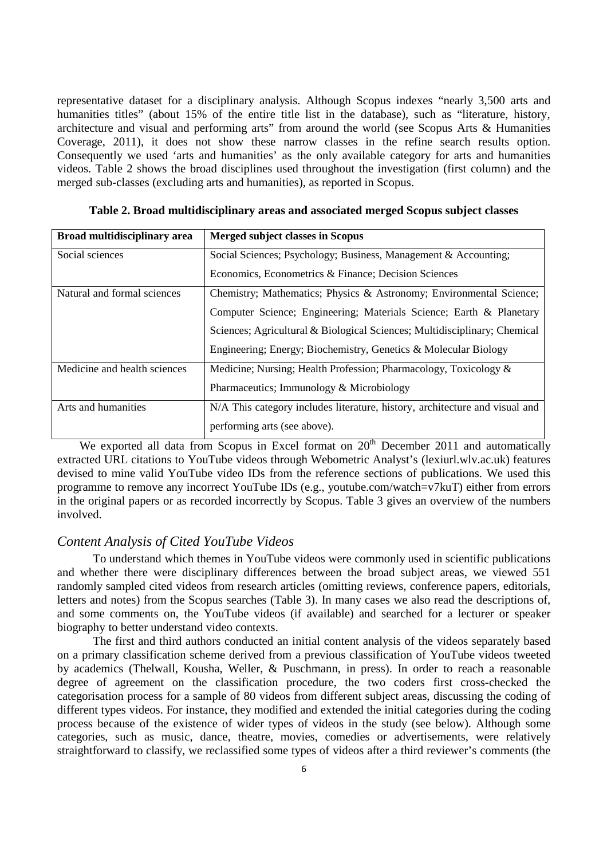representative dataset for a disciplinary analysis. Although Scopus indexes "nearly 3,500 arts and humanities titles" (about 15% of the entire title list in the database), such as "literature, history, architecture and visual and performing arts" from around the world (see Scopus Arts & Humanities Coverage, 2011), it does not show these narrow classes in the refine search results option. Consequently we used 'arts and humanities' as the only available category for arts and humanities videos. Table 2 shows the broad disciplines used throughout the investigation (first column) and the merged sub-classes (excluding arts and humanities), as reported in Scopus.

| Broad multidisciplinary area | Merged subject classes in Scopus                                            |
|------------------------------|-----------------------------------------------------------------------------|
| Social sciences              | Social Sciences; Psychology; Business, Management & Accounting;             |
|                              | Economics, Econometrics & Finance; Decision Sciences                        |
| Natural and formal sciences  | Chemistry; Mathematics; Physics & Astronomy; Environmental Science;         |
|                              | Computer Science; Engineering; Materials Science; Earth & Planetary         |
|                              | Sciences; Agricultural & Biological Sciences; Multidisciplinary; Chemical   |
|                              | Engineering; Energy; Biochemistry, Genetics & Molecular Biology             |
| Medicine and health sciences | Medicine; Nursing; Health Profession; Pharmacology, Toxicology &            |
|                              | Pharmaceutics; Immunology & Microbiology                                    |
| Arts and humanities          | N/A This category includes literature, history, architecture and visual and |
|                              | performing arts (see above).                                                |

**Table 2. Broad multidisciplinary areas and associated merged Scopus subject classes** 

We exported all data from Scopus in Excel format on  $20<sup>th</sup>$  December 2011 and automatically extracted URL citations to YouTube videos through Webometric Analyst's (lexiurl.wlv.ac.uk) features devised to mine valid YouTube video IDs from the reference sections of publications. We used this programme to remove any incorrect YouTube IDs (e.g., youtube.com/watch=v7kuT) either from errors in the original papers or as recorded incorrectly by Scopus. Table 3 gives an overview of the numbers involved.

### *Content Analysis of Cited YouTube Videos*

To understand which themes in YouTube videos were commonly used in scientific publications and whether there were disciplinary differences between the broad subject areas, we viewed 551 randomly sampled cited videos from research articles (omitting reviews, conference papers, editorials, letters and notes) from the Scopus searches (Table 3). In many cases we also read the descriptions of, and some comments on, the YouTube videos (if available) and searched for a lecturer or speaker biography to better understand video contexts.

The first and third authors conducted an initial content analysis of the videos separately based on a primary classification scheme derived from a previous classification of YouTube videos tweeted by academics (Thelwall, Kousha, Weller, & Puschmann, in press). In order to reach a reasonable degree of agreement on the classification procedure, the two coders first cross-checked the categorisation process for a sample of 80 videos from different subject areas, discussing the coding of different types videos. For instance, they modified and extended the initial categories during the coding process because of the existence of wider types of videos in the study (see below). Although some categories, such as music, dance, theatre, movies, comedies or advertisements, were relatively straightforward to classify, we reclassified some types of videos after a third reviewer's comments (the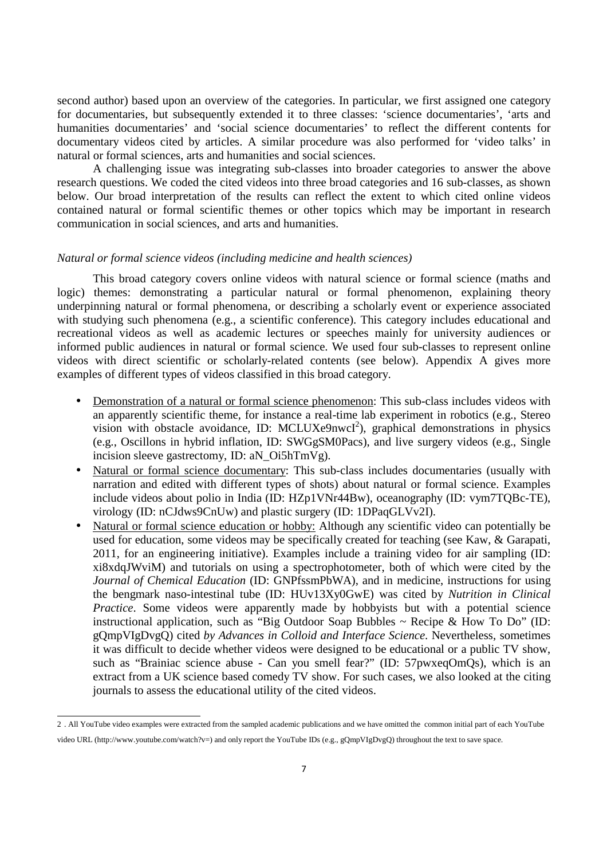second author) based upon an overview of the categories. In particular, we first assigned one category for documentaries, but subsequently extended it to three classes: 'science documentaries', 'arts and humanities documentaries' and 'social science documentaries' to reflect the different contents for documentary videos cited by articles. A similar procedure was also performed for 'video talks' in natural or formal sciences, arts and humanities and social sciences.

A challenging issue was integrating sub-classes into broader categories to answer the above research questions. We coded the cited videos into three broad categories and 16 sub-classes, as shown below. Our broad interpretation of the results can reflect the extent to which cited online videos contained natural or formal scientific themes or other topics which may be important in research communication in social sciences, and arts and humanities.

#### *Natural or formal science videos (including medicine and health sciences)*

This broad category covers online videos with natural science or formal science (maths and logic) themes: demonstrating a particular natural or formal phenomenon, explaining theory underpinning natural or formal phenomena, or describing a scholarly event or experience associated with studying such phenomena (e.g., a scientific conference). This category includes educational and recreational videos as well as academic lectures or speeches mainly for university audiences or informed public audiences in natural or formal science. We used four sub-classes to represent online videos with direct scientific or scholarly-related contents (see below). Appendix A gives more examples of different types of videos classified in this broad category.

- Demonstration of a natural or formal science phenomenon: This sub-class includes videos with an apparently scientific theme, for instance a real-time lab experiment in robotics (e.g., Stereo vision with obstacle avoidance, ID: MCLUXe9nwcI<sup>2</sup>), graphical demonstrations in physics (e.g., Oscillons in hybrid inflation, ID: SWGgSM0Pacs), and live surgery videos (e.g., Single incision sleeve gastrectomy, ID: aN\_Oi5hTmVg).
- Natural or formal science documentary: This sub-class includes documentaries (usually with narration and edited with different types of shots) about natural or formal science. Examples include videos about polio in India (ID: HZp1VNr44Bw), oceanography (ID: vym7TQBc-TE), virology (ID: nCJdws9CnUw) and plastic surgery (ID: 1DPaqGLVv2I).
- Natural or formal science education or hobby: Although any scientific video can potentially be used for education, some videos may be specifically created for teaching (see Kaw, & Garapati, 2011, for an engineering initiative). Examples include a training video for air sampling (ID: xi8xdqJWviM) and tutorials on using a spectrophotometer, both of which were cited by the *Journal of Chemical Education* (ID: GNPfssmPbWA), and in medicine, instructions for using the bengmark naso-intestinal tube (ID: HUv13Xy0GwE) was cited by *Nutrition in Clinical Practice*. Some videos were apparently made by hobbyists but with a potential science instructional application, such as "Big Outdoor Soap Bubbles  $\sim$  Recipe & How To Do" (ID: gQmpVIgDvgQ) cited *by Advances in Colloid and Interface Science*. Nevertheless, sometimes it was difficult to decide whether videos were designed to be educational or a public TV show, such as "Brainiac science abuse - Can you smell fear?" (ID: 57pwxeqOmQs), which is an extract from a UK science based comedy TV show. For such cases, we also looked at the citing journals to assess the educational utility of the cited videos.

 2 . All YouTube video examples were extracted from the sampled academic publications and we have omitted the common initial part of each YouTube video URL (http://www.youtube.com/watch?v=) and only report the YouTube IDs (e.g., gQmpVIgDvgQ) throughout the text to save space.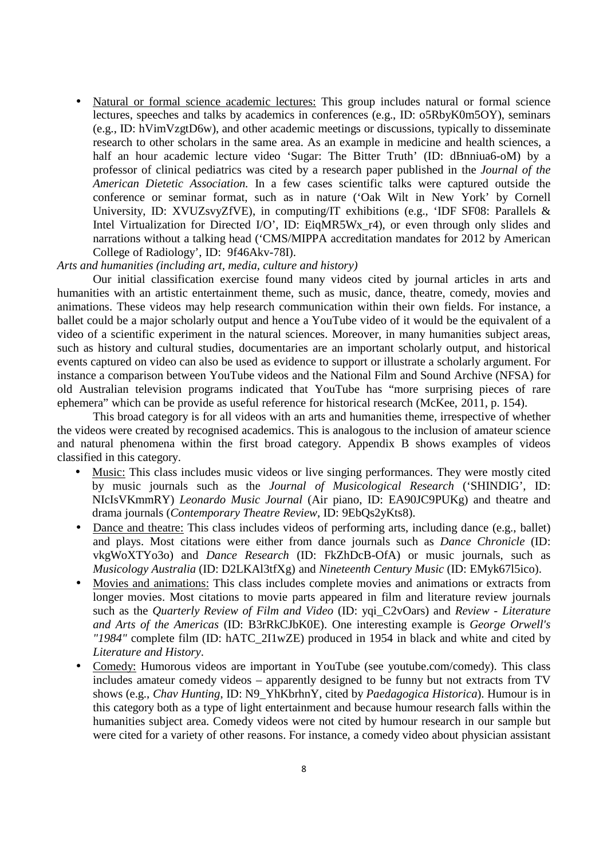• Natural or formal science academic lectures: This group includes natural or formal science lectures, speeches and talks by academics in conferences (e.g., ID: o5RbyK0m5OY), seminars (e.g., ID: hVimVzgtD6w), and other academic meetings or discussions, typically to disseminate research to other scholars in the same area. As an example in medicine and health sciences, a half an hour academic lecture video 'Sugar: The Bitter Truth' (ID: dBnniua6-oM) by a professor of clinical pediatrics was cited by a research paper published in the *Journal of the American Dietetic Association.* In a few cases scientific talks were captured outside the conference or seminar format, such as in nature ('Oak Wilt in New York' by Cornell University, ID: XVUZsvyZfVE), in computing/IT exhibitions (e.g., 'IDF SF08: Parallels & Intel Virtualization for Directed I/O', ID: EiqMR5Wx\_r4), or even through only slides and narrations without a talking head ('CMS/MIPPA accreditation mandates for 2012 by American College of Radiology', ID: 9f46Akv-78I).

#### *Arts and humanities (including art, media, culture and history)*

Our initial classification exercise found many videos cited by journal articles in arts and humanities with an artistic entertainment theme, such as music, dance, theatre, comedy, movies and animations. These videos may help research communication within their own fields. For instance, a ballet could be a major scholarly output and hence a YouTube video of it would be the equivalent of a video of a scientific experiment in the natural sciences. Moreover, in many humanities subject areas, such as history and cultural studies, documentaries are an important scholarly output, and historical events captured on video can also be used as evidence to support or illustrate a scholarly argument. For instance a comparison between YouTube videos and the National Film and Sound Archive (NFSA) for old Australian television programs indicated that YouTube has "more surprising pieces of rare ephemera" which can be provide as useful reference for historical research (McKee, 2011, p. 154).

This broad category is for all videos with an arts and humanities theme, irrespective of whether the videos were created by recognised academics. This is analogous to the inclusion of amateur science and natural phenomena within the first broad category. Appendix B shows examples of videos classified in this category.

- Music: This class includes music videos or live singing performances. They were mostly cited by music journals such as the *Journal of Musicological Research* ('SHINDIG', ID: NIcIsVKmmRY) *Leonardo Music Journal* (Air piano, ID: EA90JC9PUKg) and theatre and drama journals (*Contemporary Theatre Review*, ID: 9EbQs2yKts8).
- Dance and theatre: This class includes videos of performing arts, including dance (e.g., ballet) and plays. Most citations were either from dance journals such as *Dance Chronicle* (ID: vkgWoXTYo3o) and *Dance Research* (ID: FkZhDcB-OfA) or music journals, such as *Musicology Australia* (ID: D2LKAl3tfXg) and *Nineteenth Century Music* (ID: EMyk67l5ico).
- Movies and animations: This class includes complete movies and animations or extracts from longer movies. Most citations to movie parts appeared in film and literature review journals such as the *Quarterly Review of Film and Video* (ID: yqi\_C2vOars) and *Review - Literature and Arts of the Americas* (ID: B3rRkCJbK0E). One interesting example is *George Orwell's "1984"* complete film (ID: hATC\_2I1wZE) produced in 1954 in black and white and cited by *Literature and History*.
- Comedy: Humorous videos are important in YouTube (see youtube.com/comedy). This class includes amateur comedy videos – apparently designed to be funny but not extracts from TV shows (e.g., *Chav Hunting*, ID: N9\_YhKbrhnY, cited by *Paedagogica Historica*). Humour is in this category both as a type of light entertainment and because humour research falls within the humanities subject area. Comedy videos were not cited by humour research in our sample but were cited for a variety of other reasons. For instance, a comedy video about physician assistant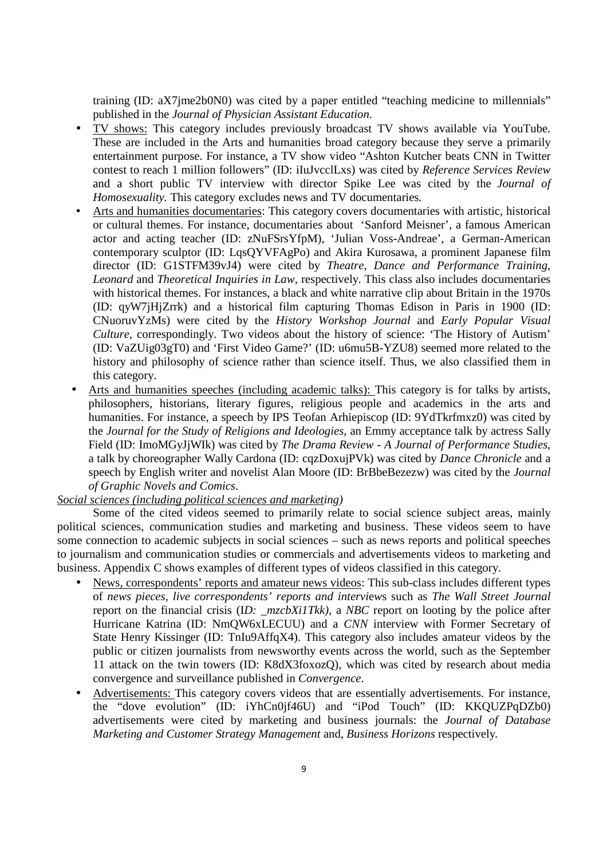training (ID: aX7jme2b0N0) was cited by a paper entitled "teaching medicine to millennials" published in the *Journal of Physician Assistant Education*.

- TV shows: This category includes previously broadcast TV shows available via YouTube. These are included in the Arts and humanities broad category because they serve a primarily entertainment purpose. For instance, a TV show video "Ashton Kutcher beats CNN in Twitter contest to reach 1 million followers" (ID: iIuJvcclLxs) was cited by *Reference Services Review*  and a short public TV interview with director Spike Lee was cited by the *Journal of Homosexuality.* This category excludes news and TV documentaries*.*
- Arts and humanities documentaries: This category covers documentaries with artistic, historical or cultural themes. For instance, documentaries about 'Sanford Meisner', a famous American actor and acting teacher (ID: zNuFSrsYfpM), 'Julian Voss-Andreae', a German-American contemporary sculptor (ID: LqsQYVFAgPo) and Akira Kurosawa, a prominent Japanese film director (ID: G1STFM39vJ4) were cited by *Theatre, Dance and Performance Training*, *Leonard* and *Theoretical Inquiries in Law,* respectively. This class also includes documentaries with historical themes. For instances, a black and white narrative clip about Britain in the 1970s (ID: qyW7jHjZrrk) and a historical film capturing Thomas Edison in Paris in 1900 (ID: CNuoruvYzMs) were cited by the *History Workshop Journal* and *Early Popular Visual Culture,* correspondingly. Two videos about the history of science: 'The History of Autism' (ID: VaZUig03gT0) and 'First Video Game?' (ID: u6mu5B-YZU8) seemed more related to the history and philosophy of science rather than science itself. Thus, we also classified them in this category.
- Arts and humanities speeches (including academic talks): This category is for talks by artists, philosophers, historians, literary figures, religious people and academics in the arts and humanities. For instance, a speech by IPS Teofan Arhiepiscop (ID: 9YdTkrfmxz0) was cited by the *Journal for the Study of Religions and Ideologies*, an Emmy acceptance talk by actress Sally Field (ID: ImoMGyJjWIk) was cited by *The Drama Review - A Journal of Performance Studies,*  a talk by choreographer Wally Cardona (ID: cqzDoxujPVk) was cited by *Dance Chronicle* and a speech by English writer and novelist Alan Moore (ID: BrBbeBezezw) was cited by the *Journal of Graphic Novels and Comics*.

### *Social sciences (including political sciences and marketing)*

Some of the cited videos seemed to primarily relate to social science subject areas, mainly political sciences, communication studies and marketing and business. These videos seem to have some connection to academic subjects in social sciences – such as news reports and political speeches to journalism and communication studies or commercials and advertisements videos to marketing and business. Appendix C shows examples of different types of videos classified in this category.

- News, correspondents' reports and amateur news videos: This sub-class includes different types of *news pieces, live correspondents' reports and intervi*e*w*s such as *The Wall Street Journal* report on the financial crisis (ID:  $mzcbXi/Tkk$ ), a *NBC* report on looting by the police after Hurricane Katrina (ID: NmQW6xLECUU) and a *CNN* interview with Former Secretary of State Henry Kissinger (ID: TnIu9AffqX4). This category also includes amateur videos by the public or citizen journalists from newsworthy events across the world, such as the September 11 attack on the twin towers (ID: K8dX3foxozQ), which was cited by research about media convergence and surveillance published in *Convergence*.
- Advertisements: This category covers videos that are essentially advertisements. For instance, the "dove evolution" (ID: iYhCn0jf46U) and "iPod Touch" (ID: KKQUZPqDZb0) advertisements were cited by marketing and business journals: the *Journal of Database Marketing and Customer Strategy Management* and, *Business Horizons* respectively*.*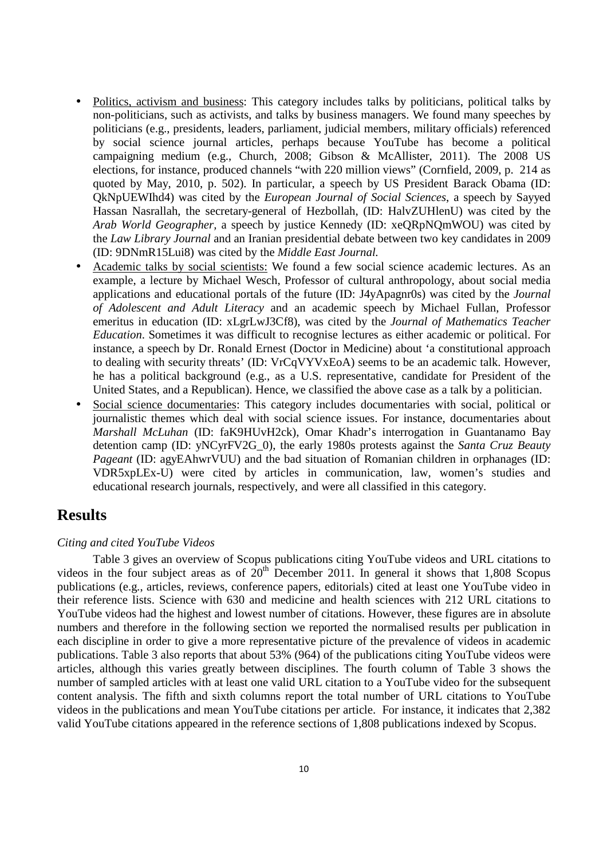- Politics, activism and business: This category includes talks by politicians, political talks by non-politicians, such as activists, and talks by business managers. We found many speeches by politicians (e.g., presidents, leaders, parliament, judicial members, military officials) referenced by social science journal articles, perhaps because YouTube has become a political campaigning medium (e.g., Church, 2008; Gibson & McAllister, 2011). The 2008 US elections, for instance, produced channels "with 220 million views" (Cornfield, 2009, p. 214 as quoted by May, 2010, p. 502). In particular, a speech by US President Barack Obama (ID: QkNpUEWIhd4) was cited by the *European Journal of Social Sciences*, a speech by Sayyed Hassan Nasrallah, the secretary-general of Hezbollah, (ID: HalvZUHlenU) was cited by the *Arab World Geographer,* a speech by justice Kennedy (ID: xeQRpNQmWOU) was cited by the *Law Library Journal* and an Iranian presidential debate between two key candidates in 2009 (ID: 9DNmR15Lui8) was cited by the *Middle East Journal.*
- Academic talks by social scientists: We found a few social science academic lectures. As an example, a lecture by Michael Wesch, Professor of cultural anthropology, about social media applications and educational portals of the future (ID: J4yApagnr0s) was cited by the *Journal of Adolescent and Adult Literacy* and an academic speech by Michael Fullan, Professor emeritus in education (ID: xLgrLwJ3Cf8), was cited by the *Journal of Mathematics Teacher Education*. Sometimes it was difficult to recognise lectures as either academic or political. For instance, a speech by Dr. Ronald Ernest (Doctor in Medicine) about 'a constitutional approach to dealing with security threats' (ID: VrCqVYVxEoA) seems to be an academic talk. However, he has a political background (e.g., as a U.S. representative, candidate for President of the United States, and a Republican). Hence, we classified the above case as a talk by a politician.
- Social science documentaries: This category includes documentaries with social, political or journalistic themes which deal with social science issues. For instance, documentaries about *Marshall McLuhan* (ID: faK9HUvH2ck), Omar Khadr's interrogation in Guantanamo Bay detention camp (ID: yNCyrFV2G\_0), the early 1980s protests against the *Santa Cruz Beauty Pageant* (ID: agyEAhwrVUU) and the bad situation of Romanian children in orphanages (ID: VDR5xpLEx-U) were cited by articles in communication, law, women's studies and educational research journals, respectively, and were all classified in this category.

# **Results**

#### *Citing and cited YouTube Videos*

Table 3 gives an overview of Scopus publications citing YouTube videos and URL citations to videos in the four subject areas as of  $20^{th}$  December 2011. In general it shows that 1,808 Scopus publications (e.g., articles, reviews, conference papers, editorials) cited at least one YouTube video in their reference lists. Science with 630 and medicine and health sciences with 212 URL citations to YouTube videos had the highest and lowest number of citations. However, these figures are in absolute numbers and therefore in the following section we reported the normalised results per publication in each discipline in order to give a more representative picture of the prevalence of videos in academic publications. Table 3 also reports that about 53% (964) of the publications citing YouTube videos were articles, although this varies greatly between disciplines. The fourth column of Table 3 shows the number of sampled articles with at least one valid URL citation to a YouTube video for the subsequent content analysis. The fifth and sixth columns report the total number of URL citations to YouTube videos in the publications and mean YouTube citations per article. For instance, it indicates that 2,382 valid YouTube citations appeared in the reference sections of 1,808 publications indexed by Scopus.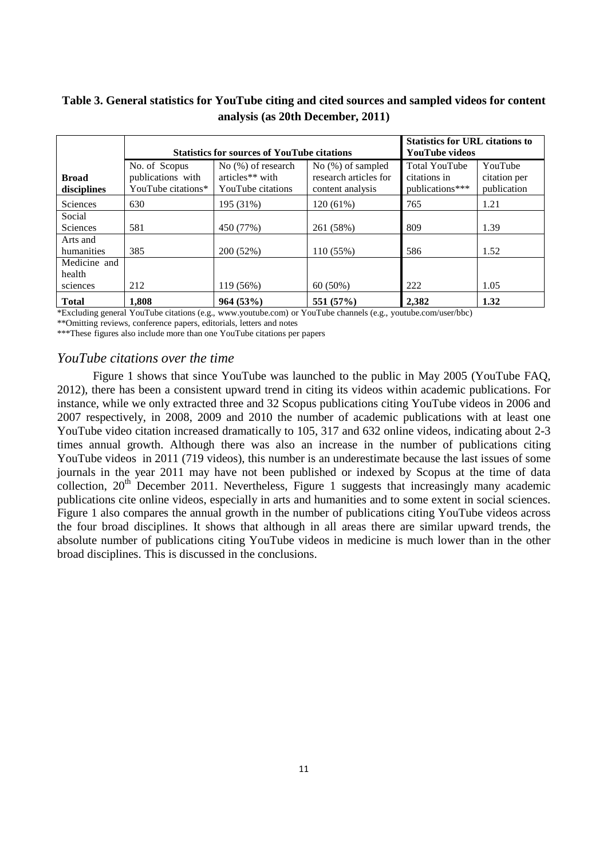### **Table 3. General statistics for YouTube citing and cited sources and sampled videos for content analysis (as 20th December, 2011)**

|                             |                                                          | <b>Statistics for sources of YouTube citations</b>                     | <b>Statistics for URL citations to</b><br><b>YouTube videos</b> |                                        |      |  |
|-----------------------------|----------------------------------------------------------|------------------------------------------------------------------------|-----------------------------------------------------------------|----------------------------------------|------|--|
| <b>Broad</b><br>disciplines | No. of Scopus<br>publications with<br>YouTube citations* | No (%) of research<br>articles <sup>**</sup> with<br>YouTube citations | <b>Total YouTube</b><br>citations in<br>publications***         | YouTube<br>citation per<br>publication |      |  |
| <b>Sciences</b>             | 630                                                      | 195 (31%)                                                              | 120 (61%)                                                       | 765                                    | 1.21 |  |
| Social                      |                                                          |                                                                        |                                                                 |                                        |      |  |
| <b>Sciences</b>             | 581                                                      | 450 (77%)                                                              | 261 (58%)                                                       | 809                                    | 1.39 |  |
| Arts and<br>humanities      | 385                                                      | 200(52%)                                                               | $110(55\%)$                                                     | 586                                    | 1.52 |  |
| Medicine and                |                                                          |                                                                        |                                                                 |                                        |      |  |
| health                      |                                                          |                                                                        |                                                                 |                                        |      |  |
| sciences                    | 212                                                      | 119 (56%)                                                              | $60(50\%)$                                                      | 222                                    | 1.05 |  |
| <b>Total</b>                | 1.808                                                    | 964(53%)                                                               | 551 (57%)                                                       | 2.382                                  | 1.32 |  |

\*Excluding general YouTube citations (e.g., www.youtube.com) or YouTube channels (e.g., youtube.com/user/bbc) \*\*Omitting reviews, conference papers, editorials, letters and notes

\*\*\*These figures also include more than one YouTube citations per papers

### *YouTube citations over the time*

Figure 1 shows that since YouTube was launched to the public in May 2005 (YouTube FAQ, 2012), there has been a consistent upward trend in citing its videos within academic publications. For instance, while we only extracted three and 32 Scopus publications citing YouTube videos in 2006 and 2007 respectively, in 2008, 2009 and 2010 the number of academic publications with at least one YouTube video citation increased dramatically to 105, 317 and 632 online videos, indicating about 2-3 times annual growth. Although there was also an increase in the number of publications citing YouTube videos in 2011 (719 videos), this number is an underestimate because the last issues of some journals in the year 2011 may have not been published or indexed by Scopus at the time of data collection,  $20<sup>th</sup>$  December 2011. Nevertheless, Figure 1 suggests that increasingly many academic publications cite online videos, especially in arts and humanities and to some extent in social sciences. Figure 1 also compares the annual growth in the number of publications citing YouTube videos across the four broad disciplines. It shows that although in all areas there are similar upward trends, the absolute number of publications citing YouTube videos in medicine is much lower than in the other broad disciplines. This is discussed in the conclusions.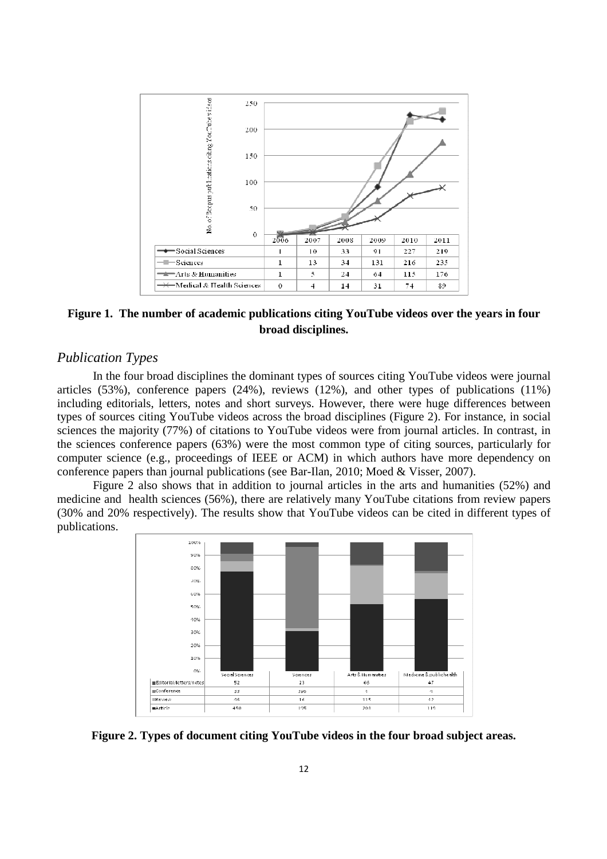

**Figure 1. The number of academic publications citing YouTube videos over the years in four broad disciplines.** 

### *Publication Types*

In the four broad disciplines the dominant types of sources citing YouTube videos were journal articles (53%), conference papers (24%), reviews (12%), and other types of publications (11%) including editorials, letters, notes and short surveys. However, there were huge differences between types of sources citing YouTube videos across the broad disciplines (Figure 2). For instance, in social sciences the majority (77%) of citations to YouTube videos were from journal articles. In contrast, in the sciences conference papers (63%) were the most common type of citing sources, particularly for computer science (e.g., proceedings of IEEE or ACM) in which authors have more dependency on conference papers than journal publications (see Bar-Ilan, 2010; Moed & Visser, 2007).

Figure 2 also shows that in addition to journal articles in the arts and humanities (52%) and medicine and health sciences (56%), there are relatively many YouTube citations from review papers (30% and 20% respectively). The results show that YouTube videos can be cited in different types of publications.



**Figure 2. Types of document citing YouTube videos in the four broad subject areas.**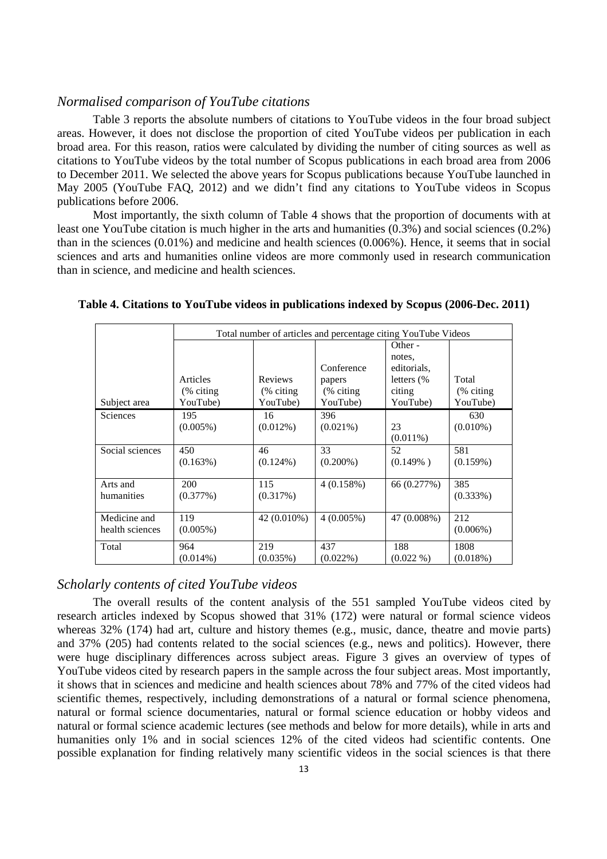### *Normalised comparison of YouTube citations*

Table 3 reports the absolute numbers of citations to YouTube videos in the four broad subject areas. However, it does not disclose the proportion of cited YouTube videos per publication in each broad area. For this reason, ratios were calculated by dividing the number of citing sources as well as citations to YouTube videos by the total number of Scopus publications in each broad area from 2006 to December 2011. We selected the above years for Scopus publications because YouTube launched in May 2005 (YouTube FAQ, 2012) and we didn't find any citations to YouTube videos in Scopus publications before 2006.

Most importantly, the sixth column of Table 4 shows that the proportion of documents with at least one YouTube citation is much higher in the arts and humanities (0.3%) and social sciences (0.2%) than in the sciences (0.01%) and medicine and health sciences (0.006%). Hence, it seems that in social sciences and arts and humanities online videos are more commonly used in research communication than in science, and medicine and health sciences.

|                                 |                    | Total number of articles and percentage citing YouTube Videos |                    |                                  |                    |  |  |  |  |  |  |  |
|---------------------------------|--------------------|---------------------------------------------------------------|--------------------|----------------------------------|--------------------|--|--|--|--|--|--|--|
|                                 |                    |                                                               | Conference         | Other -<br>notes.<br>editorials. |                    |  |  |  |  |  |  |  |
|                                 | Articles           | Reviews                                                       | papers             | letters $(\%$                    | Total              |  |  |  |  |  |  |  |
|                                 | (% citing)         | $%$ citing                                                    | (% citing)         | citing                           | (% citing)         |  |  |  |  |  |  |  |
| Subject area                    | YouTube)           | YouTube)                                                      | YouTube)           | YouTube)                         | YouTube)           |  |  |  |  |  |  |  |
| Sciences                        | 195<br>$(0.005\%)$ | 16<br>$(0.012\%)$                                             | 396<br>$(0.021\%)$ | 23<br>$(0.011\%)$                | 630<br>$(0.010\%)$ |  |  |  |  |  |  |  |
| Social sciences                 | 450<br>$(0.163\%)$ | 46<br>$(0.124\%)$                                             | 33<br>$(0.200\%)$  | 52<br>$(0.149\%)$                | 581<br>(0.159%)    |  |  |  |  |  |  |  |
| Arts and<br>humanities          | 200<br>(0.377%)    | 115<br>(0.317%)                                               | 4(0.158%)          | 66 (0.277%)                      | 385<br>$(0.333\%)$ |  |  |  |  |  |  |  |
| Medicine and<br>health sciences | 119<br>$(0.005\%)$ | 42 (0.010%)                                                   | 4(0.005%)          | 47 (0.008%)                      | 212<br>$(0.006\%)$ |  |  |  |  |  |  |  |
| Total                           | 964<br>$(0.014\%)$ | 219<br>$(0.035\%)$                                            | 437<br>$(0.022\%)$ | 188<br>$(0.022\% )$              | 1808<br>(0.018%)   |  |  |  |  |  |  |  |

**Table 4. Citations to YouTube videos in publications indexed by Scopus (2006-Dec. 2011)** 

### *Scholarly contents of cited YouTube videos*

The overall results of the content analysis of the 551 sampled YouTube videos cited by research articles indexed by Scopus showed that 31% (172) were natural or formal science videos whereas 32% (174) had art, culture and history themes (e.g., music, dance, theatre and movie parts) and 37% (205) had contents related to the social sciences (e.g., news and politics). However, there were huge disciplinary differences across subject areas. Figure 3 gives an overview of types of YouTube videos cited by research papers in the sample across the four subject areas. Most importantly, it shows that in sciences and medicine and health sciences about 78% and 77% of the cited videos had scientific themes, respectively, including demonstrations of a natural or formal science phenomena, natural or formal science documentaries, natural or formal science education or hobby videos and natural or formal science academic lectures (see methods and below for more details), while in arts and humanities only 1% and in social sciences 12% of the cited videos had scientific contents. One possible explanation for finding relatively many scientific videos in the social sciences is that there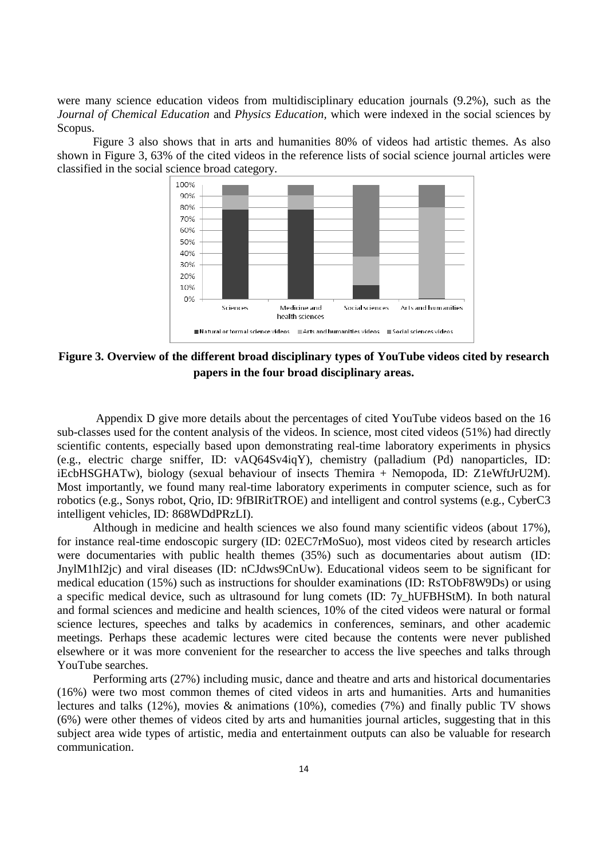were many science education videos from multidisciplinary education journals (9.2%), such as the *Journal of Chemical Education* and *Physics Education,* which were indexed in the social sciences by Scopus.

Figure 3 also shows that in arts and humanities 80% of videos had artistic themes. As also shown in Figure 3, 63% of the cited videos in the reference lists of social science journal articles were classified in the social science broad category.



**Figure 3. Overview of the different broad disciplinary types of YouTube videos cited by research papers in the four broad disciplinary areas.** 

 Appendix D give more details about the percentages of cited YouTube videos based on the 16 sub-classes used for the content analysis of the videos. In science, most cited videos (51%) had directly scientific contents, especially based upon demonstrating real-time laboratory experiments in physics (e.g., electric charge sniffer, ID: vAQ64Sv4iqY), chemistry (palladium (Pd) nanoparticles, ID: iEcbHSGHATw), biology (sexual behaviour of insects Themira + Nemopoda, ID: Z1eWftJrU2M). Most importantly, we found many real-time laboratory experiments in computer science, such as for robotics (e.g., Sonys robot, Qrio, ID: 9fBIRitTROE) and intelligent and control systems (e.g., CyberC3 intelligent vehicles, ID: 868WDdPRzLI).

Although in medicine and health sciences we also found many scientific videos (about 17%), for instance real-time endoscopic surgery (ID: 02EC7rMoSuo), most videos cited by research articles were documentaries with public health themes (35%) such as documentaries about autism (ID: JnylM1hI2jc) and viral diseases (ID: nCJdws9CnUw). Educational videos seem to be significant for medical education (15%) such as instructions for shoulder examinations (ID: RsTObF8W9Ds) or using a specific medical device, such as ultrasound for lung comets (ID: 7y\_hUFBHStM). In both natural and formal sciences and medicine and health sciences, 10% of the cited videos were natural or formal science lectures, speeches and talks by academics in conferences, seminars, and other academic meetings. Perhaps these academic lectures were cited because the contents were never published elsewhere or it was more convenient for the researcher to access the live speeches and talks through YouTube searches.

Performing arts (27%) including music, dance and theatre and arts and historical documentaries (16%) were two most common themes of cited videos in arts and humanities. Arts and humanities lectures and talks (12%), movies & animations (10%), comedies (7%) and finally public TV shows (6%) were other themes of videos cited by arts and humanities journal articles, suggesting that in this subject area wide types of artistic, media and entertainment outputs can also be valuable for research communication.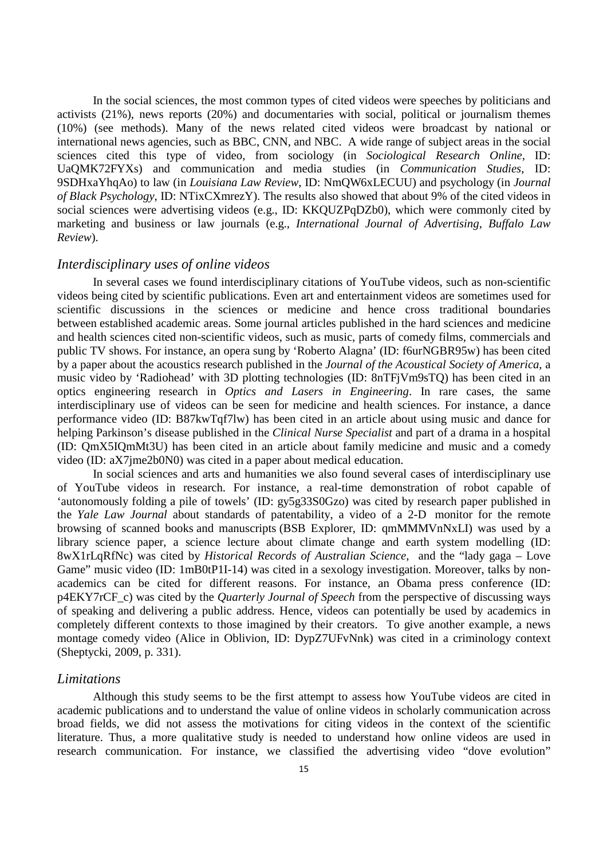In the social sciences, the most common types of cited videos were speeches by politicians and activists (21%), news reports (20%) and documentaries with social, political or journalism themes (10%) (see methods). Many of the news related cited videos were broadcast by national or international news agencies, such as BBC, CNN, and NBC. A wide range of subject areas in the social sciences cited this type of video, from sociology (in *Sociological Research Online*, ID: UaQMK72FYXs) and communication and media studies (in *Communication Studies*, ID: 9SDHxaYhqAo) to law (in *Louisiana Law Review*, ID: NmQW6xLECUU) and psychology (in *Journal of Black Psychology*, ID: NTixCXmrezY). The results also showed that about 9% of the cited videos in social sciences were advertising videos (e.g., ID: KKQUZPqDZb0), which were commonly cited by marketing and business or law journals (e.g., *International Journal of Advertising*, *Buffalo Law Review*).

# *Interdisciplinary uses of online videos*

In several cases we found interdisciplinary citations of YouTube videos, such as non-scientific videos being cited by scientific publications. Even art and entertainment videos are sometimes used for scientific discussions in the sciences or medicine and hence cross traditional boundaries between established academic areas. Some journal articles published in the hard sciences and medicine and health sciences cited non-scientific videos, such as music, parts of comedy films, commercials and public TV shows. For instance, an opera sung by 'Roberto Alagna' (ID: f6urNGBR95w) has been cited by a paper about the acoustics research published in the *Journal of the Acoustical Society of America*, a music video by 'Radiohead' with 3D plotting technologies (ID: 8nTFjVm9sTQ) has been cited in an optics engineering research in *Optics and Lasers in Engineering*. In rare cases, the same interdisciplinary use of videos can be seen for medicine and health sciences. For instance, a dance performance video (ID: B87kwTqf7lw) has been cited in an article about using music and dance for helping Parkinson's disease published in the *Clinical Nurse Specialist* and part of a drama in a hospital (ID: QmX5IQmMt3U) has been cited in an article about family medicine and music and a comedy video (ID: aX7jme2b0N0) was cited in a paper about medical education.

In social sciences and arts and humanities we also found several cases of interdisciplinary use of YouTube videos in research. For instance, a real-time demonstration of robot capable of 'autonomously folding a pile of towels' (ID: gy5g33S0Gzo) was cited by research paper published in the *Yale Law Journal* about standards of patentability, a video of a 2-D monitor for the remote browsing of scanned books and manuscripts (BSB Explorer, ID: qmMMMVnNxLI) was used by a library science paper, a science lecture about climate change and earth system modelling (ID: 8wX1rLqRfNc) was cited by *Historical Records of Australian Science*, and the "lady gaga – Love Game" music video (ID: 1mB0tP1I-14) was cited in a sexology investigation. Moreover, talks by nonacademics can be cited for different reasons. For instance, an Obama press conference (ID: p4EKY7rCF\_c) was cited by the *Quarterly Journal of Speech* from the perspective of discussing ways of speaking and delivering a public address*.* Hence, videos can potentially be used by academics in completely different contexts to those imagined by their creators. To give another example, a news montage comedy video (Alice in Oblivion, ID: DypZ7UFvNnk) was cited in a criminology context (Sheptycki, 2009, p. 331).

#### *Limitations*

Although this study seems to be the first attempt to assess how YouTube videos are cited in academic publications and to understand the value of online videos in scholarly communication across broad fields, we did not assess the motivations for citing videos in the context of the scientific literature. Thus, a more qualitative study is needed to understand how online videos are used in research communication. For instance, we classified the advertising video "dove evolution"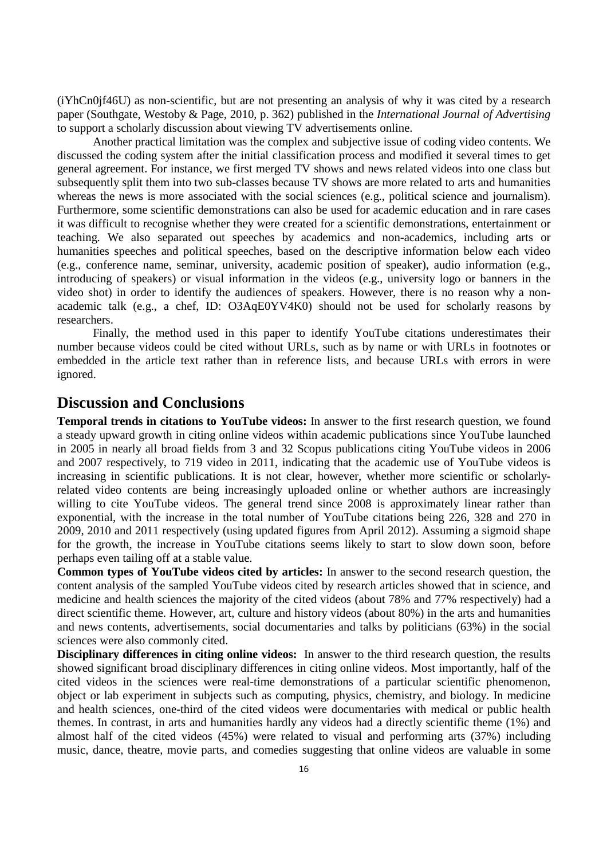(iYhCn0jf46U) as non-scientific, but are not presenting an analysis of why it was cited by a research paper (Southgate, Westoby & Page, 2010, p. 362) published in the *International Journal of Advertising*  to support a scholarly discussion about viewing TV advertisements online.

Another practical limitation was the complex and subjective issue of coding video contents. We discussed the coding system after the initial classification process and modified it several times to get general agreement. For instance, we first merged TV shows and news related videos into one class but subsequently split them into two sub-classes because TV shows are more related to arts and humanities whereas the news is more associated with the social sciences (e.g., political science and journalism). Furthermore, some scientific demonstrations can also be used for academic education and in rare cases it was difficult to recognise whether they were created for a scientific demonstrations, entertainment or teaching. We also separated out speeches by academics and non-academics, including arts or humanities speeches and political speeches, based on the descriptive information below each video (e.g., conference name, seminar, university, academic position of speaker), audio information (e.g., introducing of speakers) or visual information in the videos (e.g., university logo or banners in the video shot) in order to identify the audiences of speakers. However, there is no reason why a nonacademic talk (e.g., a chef, ID: O3AqE0YV4K0) should not be used for scholarly reasons by researchers.

Finally, the method used in this paper to identify YouTube citations underestimates their number because videos could be cited without URLs, such as by name or with URLs in footnotes or embedded in the article text rather than in reference lists, and because URLs with errors in were ignored.

# **Discussion and Conclusions**

**Temporal trends in citations to YouTube videos:** In answer to the first research question, we found a steady upward growth in citing online videos within academic publications since YouTube launched in 2005 in nearly all broad fields from 3 and 32 Scopus publications citing YouTube videos in 2006 and 2007 respectively, to 719 video in 2011, indicating that the academic use of YouTube videos is increasing in scientific publications. It is not clear, however, whether more scientific or scholarlyrelated video contents are being increasingly uploaded online or whether authors are increasingly willing to cite YouTube videos. The general trend since 2008 is approximately linear rather than exponential, with the increase in the total number of YouTube citations being 226, 328 and 270 in 2009, 2010 and 2011 respectively (using updated figures from April 2012). Assuming a sigmoid shape for the growth, the increase in YouTube citations seems likely to start to slow down soon, before perhaps even tailing off at a stable value.

**Common types of YouTube videos cited by articles:** In answer to the second research question, the content analysis of the sampled YouTube videos cited by research articles showed that in science, and medicine and health sciences the majority of the cited videos (about 78% and 77% respectively) had a direct scientific theme. However, art, culture and history videos (about 80%) in the arts and humanities and news contents, advertisements, social documentaries and talks by politicians (63%) in the social sciences were also commonly cited.

**Disciplinary differences in citing online videos:** In answer to the third research question, the results showed significant broad disciplinary differences in citing online videos. Most importantly, half of the cited videos in the sciences were real-time demonstrations of a particular scientific phenomenon, object or lab experiment in subjects such as computing, physics, chemistry, and biology. In medicine and health sciences, one-third of the cited videos were documentaries with medical or public health themes. In contrast, in arts and humanities hardly any videos had a directly scientific theme (1%) and almost half of the cited videos (45%) were related to visual and performing arts (37%) including music, dance, theatre, movie parts, and comedies suggesting that online videos are valuable in some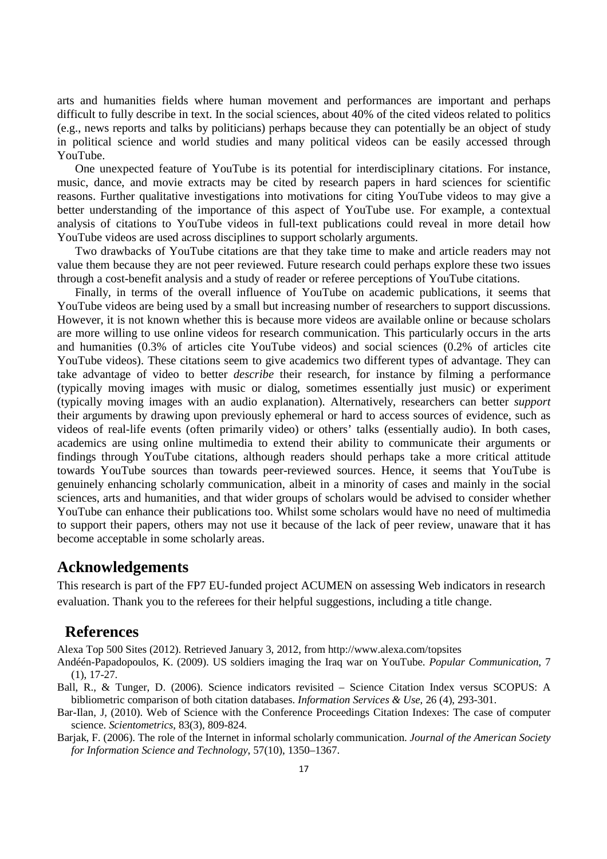arts and humanities fields where human movement and performances are important and perhaps difficult to fully describe in text. In the social sciences, about 40% of the cited videos related to politics (e.g., news reports and talks by politicians) perhaps because they can potentially be an object of study in political science and world studies and many political videos can be easily accessed through YouTube.

One unexpected feature of YouTube is its potential for interdisciplinary citations. For instance, music, dance, and movie extracts may be cited by research papers in hard sciences for scientific reasons. Further qualitative investigations into motivations for citing YouTube videos to may give a better understanding of the importance of this aspect of YouTube use. For example, a contextual analysis of citations to YouTube videos in full-text publications could reveal in more detail how YouTube videos are used across disciplines to support scholarly arguments.

Two drawbacks of YouTube citations are that they take time to make and article readers may not value them because they are not peer reviewed. Future research could perhaps explore these two issues through a cost-benefit analysis and a study of reader or referee perceptions of YouTube citations.

Finally, in terms of the overall influence of YouTube on academic publications, it seems that YouTube videos are being used by a small but increasing number of researchers to support discussions. However, it is not known whether this is because more videos are available online or because scholars are more willing to use online videos for research communication. This particularly occurs in the arts and humanities (0.3% of articles cite YouTube videos) and social sciences (0.2% of articles cite YouTube videos). These citations seem to give academics two different types of advantage. They can take advantage of video to better *describe* their research, for instance by filming a performance (typically moving images with music or dialog, sometimes essentially just music) or experiment (typically moving images with an audio explanation). Alternatively, researchers can better *support* their arguments by drawing upon previously ephemeral or hard to access sources of evidence, such as videos of real-life events (often primarily video) or others' talks (essentially audio). In both cases, academics are using online multimedia to extend their ability to communicate their arguments or findings through YouTube citations, although readers should perhaps take a more critical attitude towards YouTube sources than towards peer-reviewed sources. Hence, it seems that YouTube is genuinely enhancing scholarly communication, albeit in a minority of cases and mainly in the social sciences, arts and humanities, and that wider groups of scholars would be advised to consider whether YouTube can enhance their publications too. Whilst some scholars would have no need of multimedia to support their papers, others may not use it because of the lack of peer review, unaware that it has become acceptable in some scholarly areas.

## **Acknowledgements**

This research is part of the FP7 EU-funded project ACUMEN on assessing Web indicators in research evaluation. Thank you to the referees for their helpful suggestions, including a title change.

# **References**

Alexa Top 500 Sites (2012). Retrieved January 3, 2012, from http://www.alexa.com/topsites

- Andéén-Papadopoulos, K. (2009). US soldiers imaging the Iraq war on YouTube. *Popular Communication*, 7 (1), 17-27.
- Ball, R., & Tunger, D. (2006). Science indicators revisited Science Citation Index versus SCOPUS: A bibliometric comparison of both citation databases. *Information Services & Use*, 26 (4), 293-301.
- Bar-Ilan, J, (2010). Web of Science with the Conference Proceedings Citation Indexes: The case of computer science. *Scientometrics*, 83(3), 809-824.
- Barjak, F. (2006). The role of the Internet in informal scholarly communication. *Journal of the American Society for Information Science and Technology*, 57(10), 1350–1367.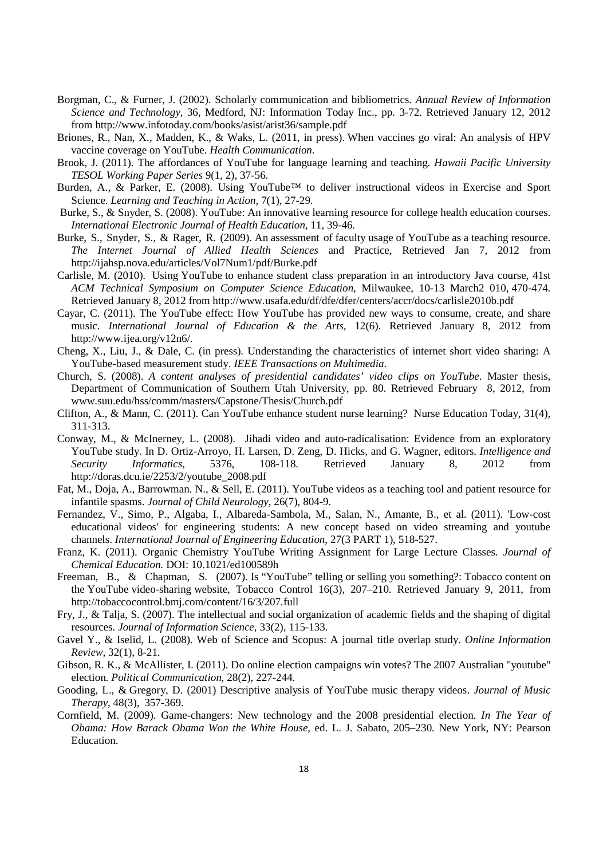- Borgman, C., & Furner, J. (2002). Scholarly communication and bibliometrics. *Annual Review of Information Science and Technology*, 36, Medford, NJ: Information Today Inc., pp. 3-72. Retrieved January 12, 2012 from http://www.infotoday.com/books/asist/arist36/sample.pdf
- Briones, R., Nan, X., Madden, K., & Waks, L. (2011, in press). When vaccines go viral: An analysis of HPV vaccine coverage on YouTube. *Health Communication*.
- Brook, J. (2011). The affordances of YouTube for language learning and teaching. *Hawaii Pacific University TESOL Working Paper Series* 9(1, 2), 37-56.
- Burden, A., & Parker, E. (2008). Using YouTube<sup>™</sup> to deliver instructional videos in Exercise and Sport Science. *Learning and Teaching in Action*, 7(1), 27-29.
- Burke, S., & Snyder, S. (2008). YouTube: An innovative learning resource for college health education courses. *International Electronic Journal of Health Education*, 11, 39-46.
- Burke, S., Snyder, S., & Rager, R. (2009). An assessment of faculty usage of YouTube as a teaching resource. *The Internet Journal of Allied Health Sciences* and Practice, Retrieved Jan 7, 2012 from http://ijahsp.nova.edu/articles/Vol7Num1/pdf/Burke.pdf
- Carlisle, M. (2010). Using YouTube to enhance student class preparation in an introductory Java course, 41st *ACM Technical Symposium on Computer Science Education*, Milwaukee, 10-13 March2 010, 470-474. Retrieved January 8, 2012 from http://www.usafa.edu/df/dfe/dfer/centers/accr/docs/carlisle2010b.pdf
- Cayar, C. (2011). The YouTube effect: How YouTube has provided new ways to consume, create, and share music. *International Journal of Education & the Arts*, 12(6). Retrieved January 8, 2012 from http://www.ijea.org/v12n6/.
- Cheng, X., Liu, J., & Dale, C. (in press). Understanding the characteristics of internet short video sharing: A YouTube-based measurement study. *IEEE Transactions on Multimedia*.
- Church, S. (2008). *A content analyses of presidential candidates' video clips on YouTube*. Master thesis, Department of Communication of Southern Utah University, pp. 80. Retrieved February 8, 2012, from www.suu.edu/hss/comm/masters/Capstone/Thesis/Church.pdf
- Clifton, A., & Mann, C. (2011). Can YouTube enhance student nurse learning? Nurse Education Today, 31(4), 311-313.
- Conway, M., & McInerney, L. (2008). Jihadi video and auto-radicalisation: Evidence from an exploratory YouTube study. In D. Ortiz-Arroyo, H. Larsen, D. Zeng, D. Hicks, and G. Wagner, editors. *Intelligence and Security Informatics*, 5376, 108-118. Retrieved January 8, 2012 from http://doras.dcu.ie/2253/2/youtube\_2008.pdf
- Fat, M., Doja, A., Barrowman. N., & Sell, E. (2011). YouTube videos as a teaching tool and patient resource for infantile spasms. *Journal of Child Neurology*, 26(7), 804-9.
- Fernandez, V., Simo, P., Algaba, I., Albareda-Sambola, M., Salan, N., Amante, B., et al. (2011). 'Low-cost educational videos' for engineering students: A new concept based on video streaming and youtube channels. *International Journal of Engineering Education*, 27(3 PART 1), 518-527.
- Franz, K. (2011). Organic Chemistry YouTube Writing Assignment for Large Lecture Classes. *Journal of Chemical Education.* DOI: 10.1021/ed100589h
- Freeman, B., & Chapman, S. (2007). Is "YouTube" telling or selling you something?: Tobacco content on the YouTube video-sharing website, Tobacco Control 16(3), 207–210. Retrieved January 9, 2011, from http://tobaccocontrol.bmj.com/content/16/3/207.full
- Fry, J., & Talja, S. (2007). The intellectual and social organization of academic fields and the shaping of digital resources. *Journal of Information Science*, 33(2), 115-133.
- Gavel Y., & Iselid, L. (2008). Web of Science and Scopus: A journal title overlap study. *Online Information Review,* 32(1), 8-21.
- Gibson, R. K., & McAllister, I. (2011). Do online election campaigns win votes? The 2007 Australian "youtube" election. *Political Communication*, 28(2), 227-244.
- Gooding, L., & Gregory, D. (2001) Descriptive analysis of YouTube music therapy videos. *Journal of Music Therapy*, 48(3), 357-369.
- Cornfield, M. (2009). Game-changers: New technology and the 2008 presidential election. *In The Year of Obama: How Barack Obama Won the White House*, ed. L. J. Sabato, 205–230. New York, NY: Pearson Education.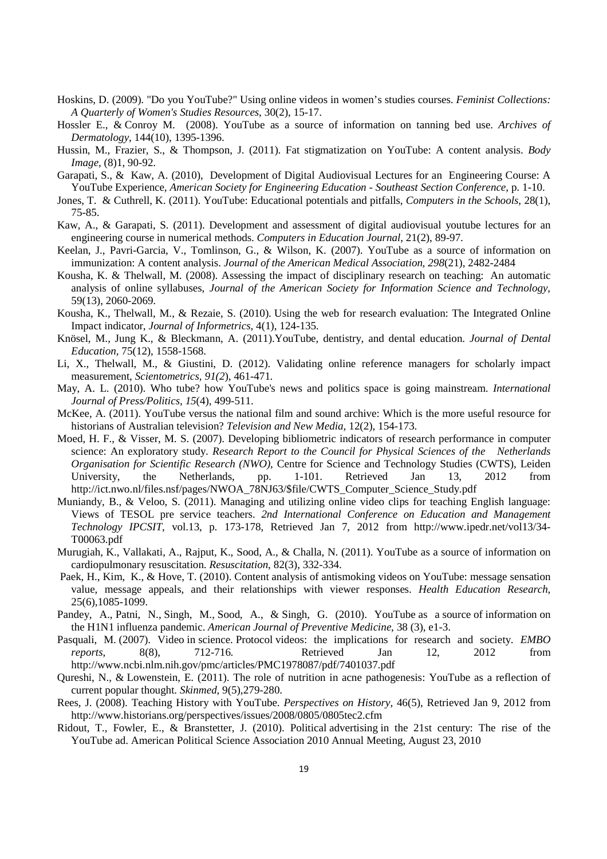- Hoskins, D. (2009). "Do you YouTube?" Using online videos in women's studies courses. *Feminist Collections: A Quarterly of Women's Studies Resources*, 30(2), 15-17.
- Hossler E., & Conroy M. (2008). YouTube as a source of information on tanning bed use. *Archives of Dermatology*, 144(10), 1395-1396.
- Hussin, M., Frazier, S., & Thompson, J. (2011). Fat stigmatization on YouTube: A content analysis. *Body Image*, (8)1, 90-92.
- Garapati, S., & Kaw, A. (2010), Development of Digital Audiovisual Lectures for an Engineering Course: A YouTube Experience, *American Society for Engineering Education - Southeast Section Conference*, p. 1-10.
- Jones, T. & Cuthrell, K. (2011). YouTube: Educational potentials and pitfalls, *Computers in the Schools*, 28(1), 75-85.
- Kaw, A., & Garapati, S. (2011). Development and assessment of digital audiovisual youtube lectures for an engineering course in numerical methods. *Computers in Education Journal*, 21(2), 89-97.
- Keelan, J., Pavri-Garcia, V., Tomlinson, G., & Wilson, K. (2007). YouTube as a source of information on immunization: A content analysis. *Journal of the American Medical Association, 298*(21), 2482-2484
- Kousha, K. & Thelwall, M. (2008). Assessing the impact of disciplinary research on teaching: An automatic analysis of online syllabuses, *Journal of the American Society for Information Science and Technology*, 59(13), 2060-2069.
- Kousha, K., Thelwall, M., & Rezaie, S. (2010). Using the web for research evaluation: The Integrated Online Impact indicator, *Journal of Informetrics*, 4(1), 124-135.
- Knösel, M., Jung K., & Bleckmann, A. (2011).YouTube, dentistry, and dental education. *Journal of Dental Education*, 75(12), 1558-1568.
- Li, X., Thelwall, M., & Giustini, D. (2012). Validating online reference managers for scholarly impact measurement, *Scientometrics, 91(2*), 461-471*.*
- May, A. L. (2010). Who tube? how YouTube's news and politics space is going mainstream. *International Journal of Press/Politics, 15*(4), 499-511.
- McKee, A. (2011). YouTube versus the national film and sound archive: Which is the more useful resource for historians of Australian television? *Television and New Media*, 12(2), 154-173.
- Moed, H. F., & Visser, M. S. (2007). Developing bibliometric indicators of research performance in computer science: An exploratory study. *Research Report to the Council for Physical Sciences of the Netherlands Organisation for Scientific Research (NWO)*, Centre for Science and Technology Studies (CWTS), Leiden University, the Netherlands, pp. 1-101. Retrieved Jan 13, 2012 from http://ict.nwo.nl/files.nsf/pages/NWOA\_78NJ63/\$file/CWTS\_Computer\_Science\_Study.pdf
- Muniandy, B., & Veloo, S. (2011). Managing and utilizing online video clips for teaching English language: Views of TESOL pre service teachers. *2nd International Conference on Education and Management Technology IPCSIT*, vol.13, p. 173-178, Retrieved Jan 7, 2012 from http://www.ipedr.net/vol13/34- T00063.pdf
- Murugiah, K., Vallakati, A., Rajput, K., Sood, A., & Challa, N. (2011). YouTube as a source of information on cardiopulmonary resuscitation. *Resuscitation*, 82(3), 332-334.
- Paek, H., Kim, K., & Hove, T. (2010). Content analysis of antismoking videos on YouTube: message sensation value, message appeals, and their relationships with viewer responses. *Health Education Research*, 25(6),1085-1099.
- Pandey, A., Patni, N., Singh, M., Sood, A., & Singh, G. (2010). YouTube as a source of information on the H1N1 influenza pandemic. *American Journal of Preventive Medicine*, 38 (3), e1-3.
- Pasquali, M. (2007). Video in science. Protocol videos: the implications for research and society. *EMBO reports*, 8(8), 712-716. Retrieved Jan 12, 2012 from http://www.ncbi.nlm.nih.gov/pmc/articles/PMC1978087/pdf/7401037.pdf
- Qureshi, N., & Lowenstein, E. (2011). The role of nutrition in acne pathogenesis: YouTube as a reflection of current popular thought. *Skinmed*, 9(5),279-280.
- Rees, J. (2008). Teaching History with YouTube. *Perspectives on History*, 46(5), Retrieved Jan 9, 2012 from http://www.historians.org/perspectives/issues/2008/0805/0805tec2.cfm
- Ridout, T., Fowler, E., & Branstetter, J. (2010). Political advertising in the 21st century: The rise of the YouTube ad. American Political Science Association 2010 Annual Meeting, August 23, 2010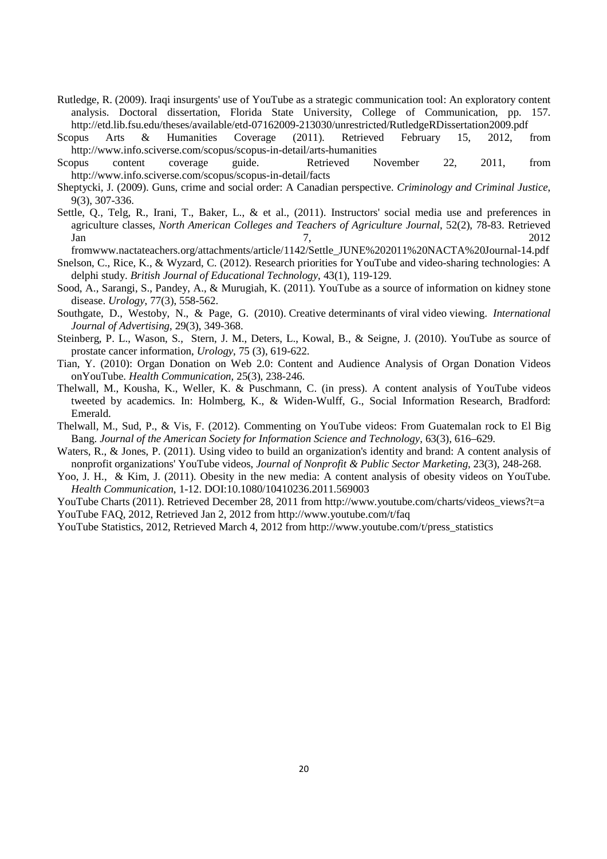- Rutledge, R. (2009). Iraqi insurgents' use of YouTube as a strategic communication tool: An exploratory content analysis. Doctoral dissertation, Florida State University, College of Communication, pp. 157. http://etd.lib.fsu.edu/theses/available/etd-07162009-213030/unrestricted/RutledgeRDissertation2009.pdf
- Scopus Arts & Humanities Coverage (2011). Retrieved February 15, 2012, from http://www.info.sciverse.com/scopus/scopus-in-detail/arts-humanities
- Scopus content coverage guide. Retrieved November 22, 2011, from http://www.info.sciverse.com/scopus/scopus-in-detail/facts
- Sheptycki, J. (2009). Guns, crime and social order: A Canadian perspective. *Criminology and Criminal Justice*, 9(3), 307-336.
- Settle, Q., Telg, R., Irani, T., Baker, L., & et al., (2011). Instructors' social media use and preferences in agriculture classes, *North American Colleges and Teachers of Agriculture Journal*, 52(2), 78-83. Retrieved  $\lambda$  Jan 2012
- fromwww.nactateachers.org/attachments/article/1142/Settle\_JUNE%202011%20NACTA%20Journal-14.pdf Snelson, C., Rice, K., & Wyzard, C. (2012). Research priorities for YouTube and video-sharing technologies: A delphi study. *British Journal of Educational Technology*, 43(1), 119-129.
- Sood, A., Sarangi, S., Pandey, A., & Murugiah, K. (2011). YouTube as a source of information on kidney stone disease. *Urology*, 77(3), 558-562.
- Southgate, D., Westoby, N., & Page, G. (2010). Creative determinants of viral video viewing. *International Journal of Advertising*, 29(3), 349-368.
- Steinberg, P. L., Wason, S., Stern, J. M., Deters, L., Kowal, B., & Seigne, J. (2010). YouTube as source of prostate cancer information, *Urology*, 75 (3), 619-622.
- Tian, Y. (2010): Organ Donation on Web 2.0: Content and Audience Analysis of Organ Donation Videos onYouTube. *Health Communication*, 25(3), 238-246.
- Thelwall, M., Kousha, K., Weller, K. & Puschmann, C. (in press). A content analysis of YouTube videos tweeted by academics. In: Holmberg, K., & Widen-Wulff, G., Social Information Research, Bradford: Emerald.
- Thelwall, M., Sud, P., & Vis, F. (2012). Commenting on YouTube videos: From Guatemalan rock to El Big Bang. *Journal of the American Society for Information Science and Technology*, 63(3), 616–629.
- Waters, R., & Jones, P. (2011). Using video to build an organization's identity and brand: A content analysis of nonprofit organizations' YouTube videos, *Journal of Nonprofit & Public Sector Marketing*, 23(3), 248-268.
- Yoo, J. H., & Kim, J. (2011). Obesity in the new media: A content analysis of obesity videos on YouTube. *Health Communication*, 1-12. DOI:10.1080/10410236.2011.569003
- YouTube Charts (2011). Retrieved December 28, 2011 from http://www.youtube.com/charts/videos\_views?t=a YouTube FAQ, 2012, Retrieved Jan 2, 2012 from http://www.youtube.com/t/faq
- YouTube Statistics, 2012, Retrieved March 4, 2012 from http://www.youtube.com/t/press\_statistics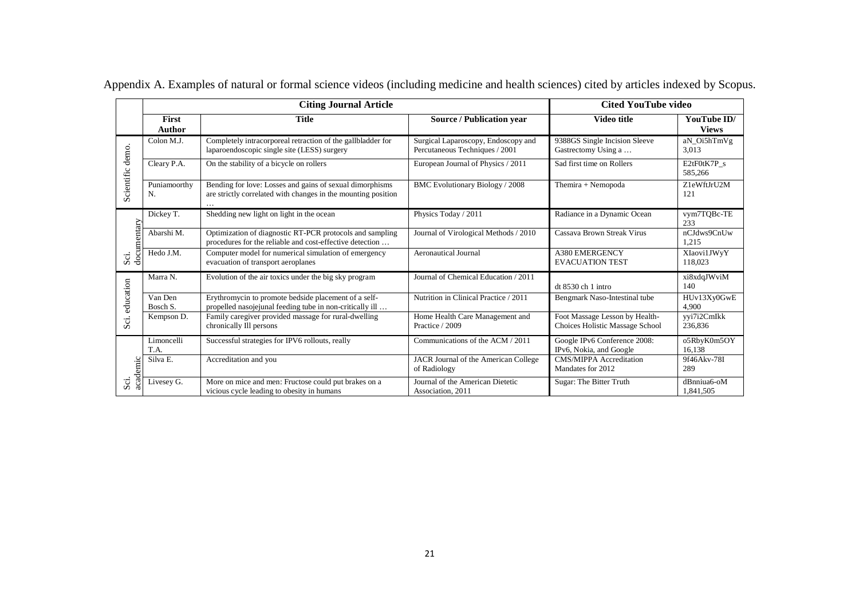|                  |                        | <b>Citing Journal Article</b>                                                                                             | <b>Cited YouTube video</b>                                            |                                                                   |                             |  |
|------------------|------------------------|---------------------------------------------------------------------------------------------------------------------------|-----------------------------------------------------------------------|-------------------------------------------------------------------|-----------------------------|--|
|                  | <b>First</b><br>Author | <b>Title</b>                                                                                                              | <b>Source / Publication year</b>                                      | Video title                                                       | YouTube ID/<br><b>Views</b> |  |
|                  | Colon M.J.             | Completely intracorporeal retraction of the gallbladder for<br>laparoendoscopic single site (LESS) surgery                | Surgical Laparoscopy, Endoscopy and<br>Percutaneous Techniques / 2001 | 9388GS Single Incision Sleeve<br>Gastrectomy Using a              | aN Oi5hTmVg<br>3,013        |  |
| Scientific demo. | Cleary P.A.            | On the stability of a bicycle on rollers                                                                                  | European Journal of Physics / 2011                                    | Sad first time on Rollers                                         | E2tF0tK7P s<br>585,266      |  |
|                  | Puniamoorthy<br>N.     | Bending for love: Losses and gains of sexual dimorphisms<br>are strictly correlated with changes in the mounting position | BMC Evolutionary Biology / 2008                                       | Themira + Nemopoda                                                | Z1eWftJrU2M<br>121          |  |
|                  | Dickey T.              | Shedding new light on light in the ocean                                                                                  | Physics Today / 2011                                                  | Radiance in a Dynamic Ocean                                       | vym7TQBc-TE<br>233          |  |
| documentary      | Abarshi M.             | Optimization of diagnostic RT-PCR protocols and sampling<br>procedures for the reliable and cost-effective detection      | Journal of Virological Methods / 2010                                 | Cassava Brown Streak Virus                                        | nCJdws9CnUw<br>1,215        |  |
| $S\ddot{\alpha}$ | Hedo J.M.              | Computer model for numerical simulation of emergency<br>evacuation of transport aeroplanes                                | <b>Aeronautical Journal</b>                                           | <b>A380 EMERGENCY</b><br><b>EVACUATION TEST</b>                   | XIaovi1JWyY<br>118,023      |  |
|                  | Marra N.               | Evolution of the air toxics under the big sky program                                                                     | Journal of Chemical Education / 2011                                  | $dt$ 8530 ch 1 intro                                              | xi8xdqJWviM<br>140          |  |
| education        | Van Den<br>Bosch S.    | Erythromycin to promote bedside placement of a self-<br>propelled nasojejunal feeding tube in non-critically ill          | Nutrition in Clinical Practice / 2011                                 | Bengmark Naso-Intestinal tube                                     | HUv13Xy0GwE<br>4.900        |  |
| Sci.             | Kempson D.             | Family caregiver provided massage for rural-dwelling<br>chronically Ill persons                                           | Home Health Care Management and<br>Practice / 2009                    | Foot Massage Lesson by Health-<br>Choices Holistic Massage School | vyi7i2CmIkk<br>236,836      |  |
|                  | Limoncelli<br>T.A.     | Successful strategies for IPV6 rollouts, really                                                                           | Communications of the ACM / 2011                                      | Google IPv6 Conference 2008:<br>IPv6, Nokia, and Google           | o5RbyK0m5OY<br>16.138       |  |
| academic         | Silva E.               | Accreditation and you                                                                                                     | JACR Journal of the American College<br>of Radiology                  | <b>CMS/MIPPA</b> Accreditation<br>Mandates for 2012               | 9f46Akv-78I<br>289          |  |
| Sci              | Livesey G.             | More on mice and men: Fructose could put brakes on a<br>vicious cycle leading to obesity in humans                        | Journal of the American Dietetic<br>Association, 2011                 | Sugar: The Bitter Truth                                           | dBnniua6-oM<br>1,841,505    |  |

Appendix A. Examples of natural or formal science videos (including medicine and health sciences) cited by articles indexed by Scopus.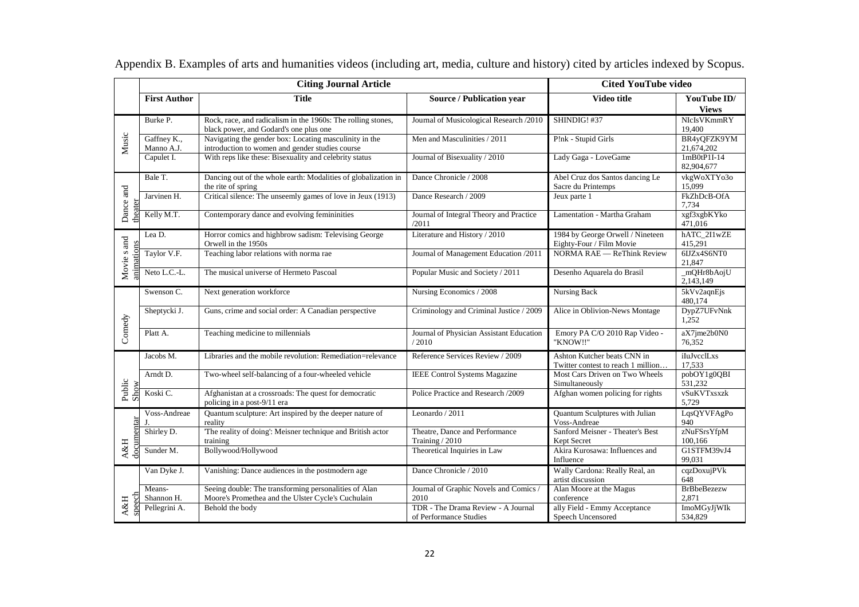|                        |                           | <b>Citing Journal Article</b>                                                                               |                                                              | <b>Cited YouTube video</b>                                        |                             |  |  |
|------------------------|---------------------------|-------------------------------------------------------------------------------------------------------------|--------------------------------------------------------------|-------------------------------------------------------------------|-----------------------------|--|--|
|                        | <b>First Author</b>       | <b>Title</b>                                                                                                | Source / Publication year                                    | Video title                                                       | YouTube ID/<br><b>Views</b> |  |  |
|                        | Burke P.                  | Rock, race, and radicalism in the 1960s: The rolling stones,<br>black power, and Godard's one plus one      | Journal of Musicological Research /2010                      | SHINDIG! #37                                                      | NIcIsVKmmRY<br>19.400       |  |  |
| Music                  | Gaffney K.,<br>Manno A.J. | Navigating the gender box: Locating masculinity in the<br>introduction to women and gender studies course   | Men and Masculinities / 2011                                 | P!nk - Stupid Girls                                               | BR4yQFZK9YM<br>21,674,202   |  |  |
|                        | Capulet I.                | With reps like these: Bisexuality and celebrity status                                                      | Journal of Bisexuality / 2010                                | Lady Gaga - LoveGame                                              | $1mB0tP1I-14$<br>82,904,677 |  |  |
|                        | Bale T.                   | Dancing out of the whole earth: Modalities of globalization in<br>the rite of spring                        | Dance Chronicle / 2008                                       | Abel Cruz dos Santos dancing Le<br>Sacre du Printemps             | vkgWoXTYo3o<br>15,099       |  |  |
| Dance and              | Jarvinen H.               | Critical silence: The unseemly games of love in Jeux (1913)                                                 | Dance Research / 2009                                        | Jeux parte 1                                                      | FkZhDcB-OfA<br>7.734        |  |  |
| theater                | Kelly M.T.                | Contemporary dance and evolving femininities                                                                | Journal of Integral Theory and Practice<br>/2011             | Lamentation - Martha Graham                                       | xgf3xgbKYko<br>471,016      |  |  |
|                        | Lea D.                    | Horror comics and highbrow sadism: Televising George<br>Orwell in the 1950s                                 | Literature and History / 2010                                | 1984 by George Orwell / Nineteen<br>Eighty-Four / Film Movie      | hATC_2I1wZE<br>415,291      |  |  |
| Movie s and            | Taylor V.F.               | Teaching labor relations with norma rae                                                                     | Journal of Management Education /2011                        | NORMA RAE - ReThink Review                                        | 6IJZx4S6NT0<br>21,847       |  |  |
|                        | Neto L.C.-L.              | The musical universe of Hermeto Pascoal                                                                     | Popular Music and Society / 2011                             | Desenho Aquarela do Brasil                                        | _mQHr8bAojU<br>2,143,149    |  |  |
|                        | Swenson C.                | Next generation workforce                                                                                   | Nursing Economics / 2008                                     | Nursing Back                                                      | 5kVv2aqnEjs<br>480,174      |  |  |
|                        | Sheptycki J.              | Guns, crime and social order: A Canadian perspective                                                        | Criminology and Criminal Justice / 2009                      | Alice in Oblivion-News Montage                                    | DypZ7UFvNnk<br>1,252        |  |  |
| Comedy                 | Platt A.                  | Teaching medicine to millennials                                                                            | Journal of Physician Assistant Education<br>/2010            | Emory PA C/O 2010 Rap Video -<br>"KNOW!!"                         | aX7jme2b0N0<br>76,352       |  |  |
|                        | Jacobs M.                 | Libraries and the mobile revolution: Remediation=relevance                                                  | Reference Services Review / 2009                             | Ashton Kutcher beats CNN in<br>Twitter contest to reach 1 million | iIuJvcclLxs<br>17,533       |  |  |
|                        | Arndt D.                  | Two-wheel self-balancing of a four-wheeled vehicle                                                          | <b>IEEE Control Systems Magazine</b>                         | Most Cars Driven on Two Wheels<br>Simultaneously                  | pobOY1g0QBI<br>531,232      |  |  |
| Public<br>Show         | Koski C.                  | Afghanistan at a crossroads: The quest for democratic<br>policing in a post-9/11 era                        | Police Practice and Research /2009                           | Afghan women policing for rights                                  | vSuKVTxsxzk<br>5,729        |  |  |
|                        | Voss-Andreae<br>J.        | Quantum sculpture: Art inspired by the deeper nature of<br>reality                                          | Leonardo / 2011                                              | Quantum Sculptures with Julian<br>Voss-Andreae                    | LqsQYVFAgPo<br>940          |  |  |
|                        | Shirley D.                | 'The reality of doing': Meisner technique and British actor<br>training                                     | Theatre, Dance and Performance<br>Training / 2010            | Sanford Meisner - Theater's Best<br>Kept Secret                   | zNuFSrsYfpM<br>100,166      |  |  |
| <b>A&amp;H</b><br>doci | Sunder M.                 | Bollywood/Hollywood                                                                                         | Theoretical Inquiries in Law                                 | Akira Kurosawa: Influences and<br>Influence                       | G1STFM39vJ4<br>99,031       |  |  |
|                        | Van Dyke J.               | Vanishing: Dance audiences in the postmodern age                                                            | Dance Chronicle / 2010                                       | Wally Cardona: Really Real, an<br>artist discussion               | cqzDoxujPVk<br>648          |  |  |
|                        | Means-<br>Shannon H.      | Seeing double: The transforming personalities of Alan<br>Moore's Promethea and the Ulster Cycle's Cuchulain | Journal of Graphic Novels and Comics /<br>2010               | Alan Moore at the Magus<br>conference                             | <b>BrBbeBezezw</b><br>2,871 |  |  |
| speech<br>A&H          | Pellegrini A.             | Behold the body                                                                                             | TDR - The Drama Review - A Journal<br>of Performance Studies | ally Field - Emmy Acceptance<br>Speech Uncensored                 | ImoMGyJjWIk<br>534,829      |  |  |

Appendix B. Examples of arts and humanities videos (including art, media, culture and history) cited by articles indexed by Scopus.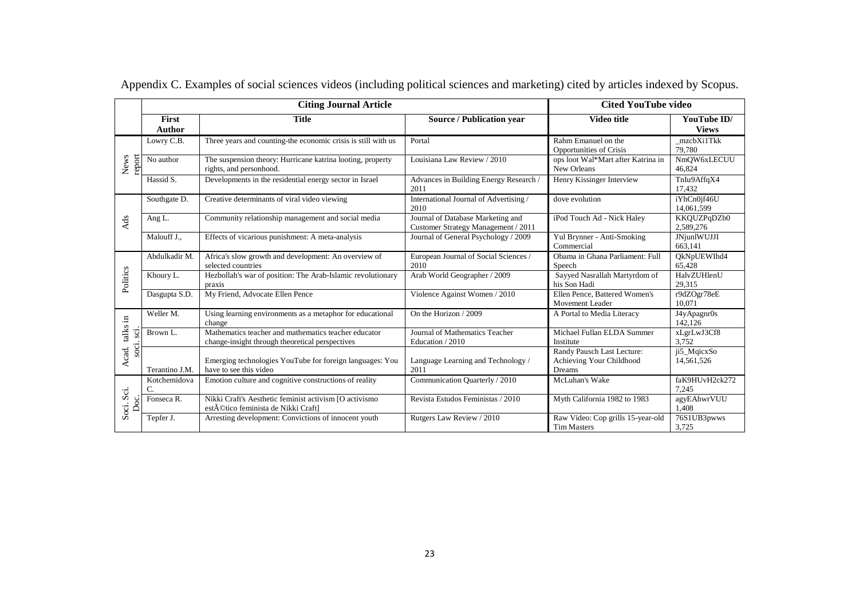|                         |                        | <b>Citing Journal Article</b>                                                                           |                                                                          | <b>Cited YouTube video</b>                                       |                               |  |  |  |
|-------------------------|------------------------|---------------------------------------------------------------------------------------------------------|--------------------------------------------------------------------------|------------------------------------------------------------------|-------------------------------|--|--|--|
|                         | First<br><b>Author</b> | <b>Title</b>                                                                                            | <b>Video title</b>                                                       | YouTube ID/<br><b>Views</b>                                      |                               |  |  |  |
|                         | Lowry C.B.             | Three years and counting-the economic crisis is still with us                                           | Portal                                                                   | Rahm Emanuel on the<br>Opportunities of Crisis                   | mzcbXi1Tkk<br>79,780          |  |  |  |
| report<br>News          | No author              | The suspension theory: Hurricane katrina looting, property<br>rights, and personhood.                   | Louisiana Law Review / 2010                                              | ops loot Wal*Mart after Katrina in<br>New Orleans                | NmOW6xLECUU<br>46,824         |  |  |  |
|                         | Hassid S.              | Developments in the residential energy sector in Israel                                                 | Advances in Building Energy Research /<br>2011                           | Henry Kissinger Interview                                        | TnIu9AffqX4<br>17.432         |  |  |  |
|                         | Southgate D.           | Creative determinants of viral video viewing                                                            | International Journal of Advertising /<br>2010                           | dove evolution                                                   | iYhCn0jf46U<br>14,061,599     |  |  |  |
| <b>Ads</b>              | Ang L.                 | Community relationship management and social media                                                      | Journal of Database Marketing and<br>Customer Strategy Management / 2011 | iPod Touch Ad - Nick Haley                                       | KKQUZPqDZb0<br>2,589,276      |  |  |  |
|                         | Malouff J.,            | Effects of vicarious punishment: A meta-analysis                                                        | Journal of General Psychology / 2009                                     | Yul Brynner - Anti-Smoking<br>Commercial                         | <b>JNjunlWUJJI</b><br>663,141 |  |  |  |
|                         | Abdulkadir M.          | Africa's slow growth and development: An overview of<br>selected countries                              | European Journal of Social Sciences /<br>2010                            | Obama in Ghana Parliament: Full<br>Speech                        | QkNpUEWIhd4<br>65,428         |  |  |  |
| Politics                | Khoury L.              | Hezbollah's war of position: The Arab-Islamic revolutionary<br>praxis                                   | Arab World Geographer / 2009                                             | Sayyed Nasrallah Martyrdom of<br>his Son Hadi                    | HalvZUHlenU<br>29,315         |  |  |  |
|                         | Dasgupta S.D.          | My Friend, Advocate Ellen Pence                                                                         | Violence Against Women / 2010                                            | Ellen Pence, Battered Women's<br>Movement Leader                 | r9dZOgr78eE<br>10.071         |  |  |  |
|                         | Weller M.              | Using learning environments as a metaphor for educational<br>change                                     | On the Horizon / 2009                                                    | A Portal to Media Literacy                                       | J4yApagnr0s<br>142.126        |  |  |  |
| talks in<br>.<br>SCI    | Brown L.               | Mathematics teacher and mathematics teacher educator<br>change-insight through theoretical perspectives | Journal of Mathematics Teacher<br>Education / 2010                       | Michael Fullan ELDA Summer<br>Institute                          | xLgrLwJ3Cf8<br>3,752          |  |  |  |
| .<br>Soci<br>Acad.      | Terantino J.M.         | Emerging technologies YouTube for foreign languages: You<br>have to see this video                      | Language Learning and Technology /<br>2011                               | Randy Pausch Last Lecture:<br>Achieving Your Childhood<br>Dreams | ji5_MqicxSo<br>14,561,526     |  |  |  |
|                         | Kotchemidova<br>C.     | Emotion culture and cognitive constructions of reality                                                  | Communication Quarterly / 2010                                           | McLuhan's Wake                                                   | faK9HUvH2ck272<br>7.245       |  |  |  |
| Sci.<br>ದ<br>å<br>Soci. | Fonseca <sub>R</sub> . | Nikki Craft's Aesthetic feminist activism [O activismo]<br>estético feminista de Nikki Craft]           | Revista Estudos Feministas / 2010                                        | Myth California 1982 to 1983                                     | agyEAhwrVUU<br>1.408          |  |  |  |
|                         | Tepfer J.              | Arresting development: Convictions of innocent youth                                                    | Rutgers Law Review / 2010                                                | Raw Video: Cop grills 15-year-old<br><b>Tim Masters</b>          | 76S1UB3pwws<br>3,725          |  |  |  |

Appendix C. Examples of social sciences videos (including political sciences and marketing) cited by articles indexed by Scopus.